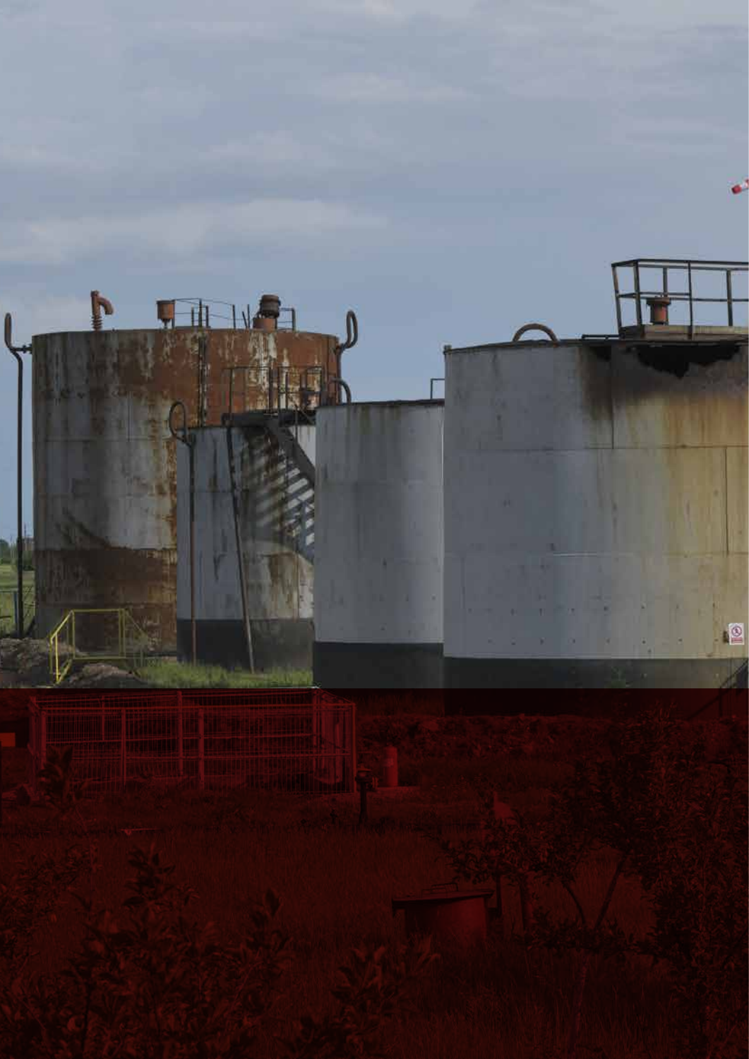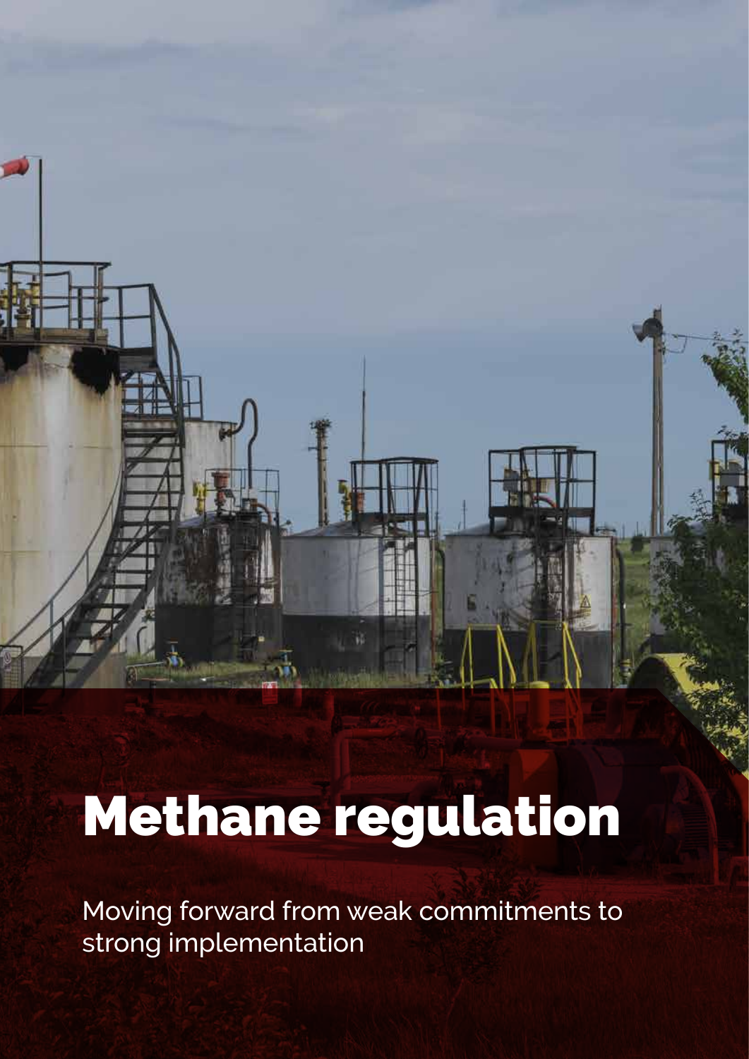Methane regulation

Moving forward from weak commitments to strong implementation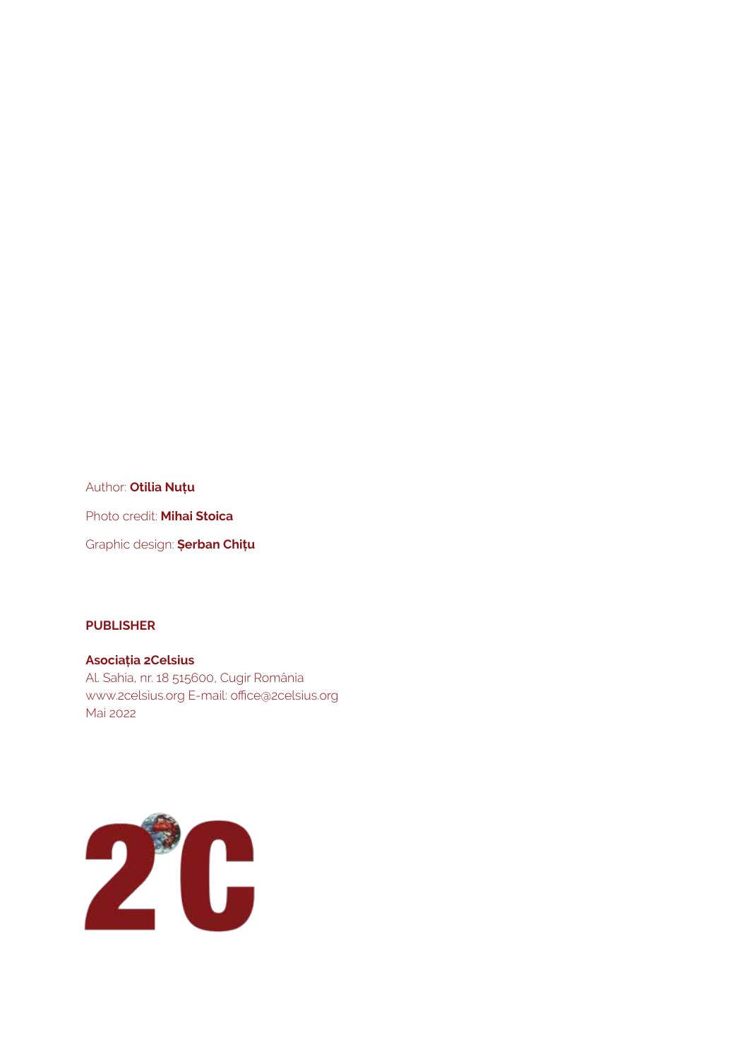Author: **Otilia Nuțu** Photo credit: **Mihai Stoica** Graphic design: **Șerban Chițu** 

#### **PUBLISHER**

**Asociația 2Celsius** Al. Sahia, nr. 18 515600, Cugir România www.2celsius.org E-mail: office@2celsius.org Mai 2022

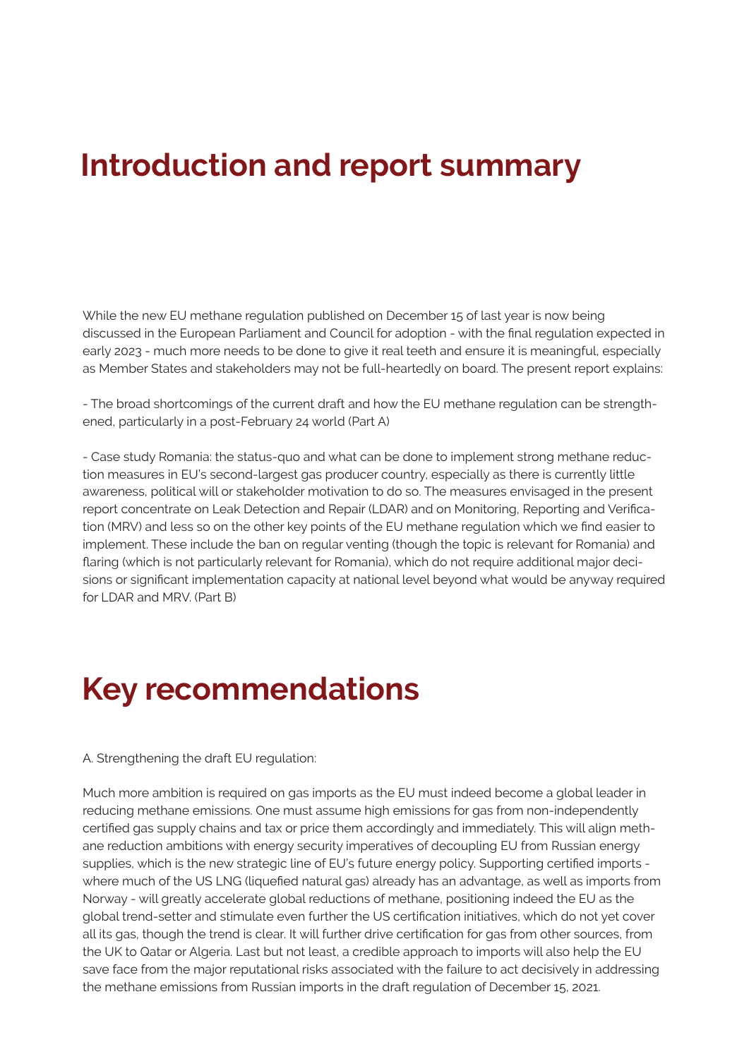### **Introduction and report summary**

While the new EU methane regulation published on December 15 of last year is now being discussed in the European Parliament and Council for adoption - with the final regulation expected in early 2023 - much more needs to be done to give it real teeth and ensure it is meaningful, especially as Member States and stakeholders may not be full-heartedly on board. The present report explains:

- The broad shortcomings of the current draft and how the EU methane regulation can be strengthened, particularly in a post-February 24 world (Part A)

- Case study Romania: the status-quo and what can be done to implement strong methane reduction measures in EU's second-largest gas producer country, especially as there is currently little awareness, political will or stakeholder motivation to do so. The measures envisaged in the present report concentrate on Leak Detection and Repair (LDAR) and on Monitoring, Reporting and Verification (MRV) and less so on the other key points of the EU methane regulation which we find easier to implement. These include the ban on regular venting (though the topic is relevant for Romania) and flaring (which is not particularly relevant for Romania), which do not require additional major decisions or significant implementation capacity at national level beyond what would be anyway required for LDAR and MRV. (Part B)

### **Key recommendations**

#### A. Strengthening the draft EU regulation:

Much more ambition is required on gas imports as the EU must indeed become a global leader in reducing methane emissions. One must assume high emissions for gas from non-independently certified gas supply chains and tax or price them accordingly and immediately. This will align methane reduction ambitions with energy security imperatives of decoupling EU from Russian energy supplies, which is the new strategic line of EU's future energy policy. Supporting certified imports where much of the US LNG (liquefied natural gas) already has an advantage, as well as imports from Norway - will greatly accelerate global reductions of methane, positioning indeed the EU as the global trend-setter and stimulate even further the US certification initiatives, which do not yet cover all its gas, though the trend is clear. It will further drive certification for gas from other sources, from the UK to Qatar or Algeria. Last but not least, a credible approach to imports will also help the EU save face from the major reputational risks associated with the failure to act decisively in addressing the methane emissions from Russian imports in the draft regulation of December 15, 2021.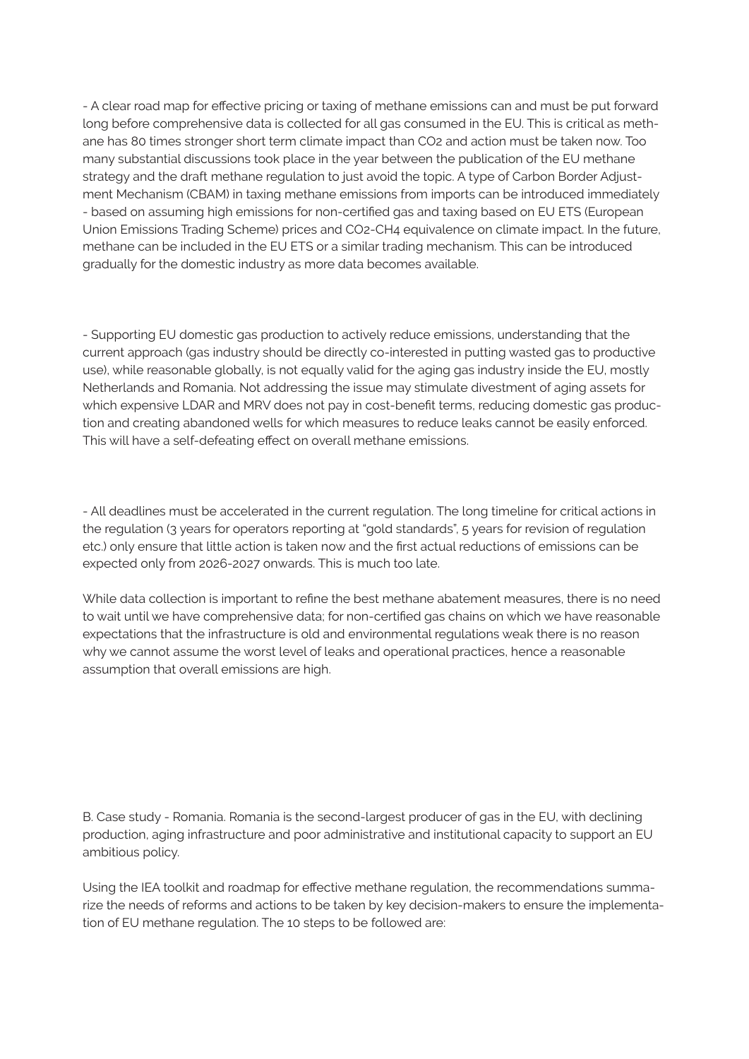- A clear road map for effective pricing or taxing of methane emissions can and must be put forward long before comprehensive data is collected for all gas consumed in the EU. This is critical as methane has 80 times stronger short term climate impact than CO2 and action must be taken now. Too many substantial discussions took place in the year between the publication of the EU methane strategy and the draft methane regulation to just avoid the topic. A type of Carbon Border Adjustment Mechanism (CBAM) in taxing methane emissions from imports can be introduced immediately - based on assuming high emissions for non-certified gas and taxing based on EU ETS (European Union Emissions Trading Scheme) prices and CO2-CH4 equivalence on climate impact. In the future, methane can be included in the EU ETS or a similar trading mechanism. This can be introduced gradually for the domestic industry as more data becomes available.

- Supporting EU domestic gas production to actively reduce emissions, understanding that the current approach (gas industry should be directly co-interested in putting wasted gas to productive use), while reasonable globally, is not equally valid for the aging gas industry inside the EU, mostly Netherlands and Romania. Not addressing the issue may stimulate divestment of aging assets for which expensive LDAR and MRV does not pay in cost-benefit terms, reducing domestic gas production and creating abandoned wells for which measures to reduce leaks cannot be easily enforced. This will have a self-defeating effect on overall methane emissions.

- All deadlines must be accelerated in the current regulation. The long timeline for critical actions in the regulation (3 years for operators reporting at "gold standards", 5 years for revision of regulation etc.) only ensure that little action is taken now and the first actual reductions of emissions can be expected only from 2026-2027 onwards. This is much too late.

While data collection is important to refine the best methane abatement measures, there is no need to wait until we have comprehensive data; for non-certified gas chains on which we have reasonable expectations that the infrastructure is old and environmental regulations weak there is no reason why we cannot assume the worst level of leaks and operational practices, hence a reasonable assumption that overall emissions are high.

B. Case study - Romania. Romania is the second-largest producer of gas in the EU, with declining production, aging infrastructure and poor administrative and institutional capacity to support an EU ambitious policy.

Using the IEA toolkit and roadmap for effective methane regulation, the recommendations summarize the needs of reforms and actions to be taken by key decision-makers to ensure the implementation of EU methane regulation. The 10 steps to be followed are: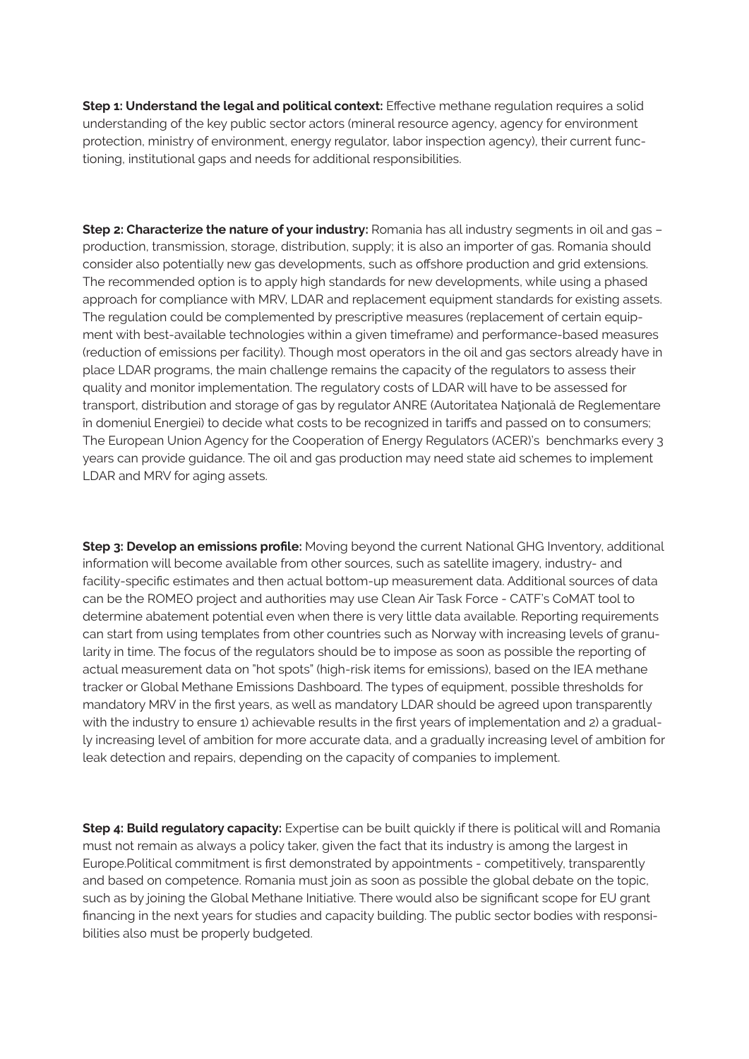**Step 1: Understand the legal and political context:** Effective methane regulation requires a solid understanding of the key public sector actors (mineral resource agency, agency for environment protection, ministry of environment, energy regulator, labor inspection agency), their current functioning, institutional gaps and needs for additional responsibilities.

**Step 2: Characterize the nature of your industry:** Romania has all industry segments in oil and gas – production, transmission, storage, distribution, supply; it is also an importer of gas. Romania should consider also potentially new gas developments, such as offshore production and grid extensions. The recommended option is to apply high standards for new developments, while using a phased approach for compliance with MRV, LDAR and replacement equipment standards for existing assets. The regulation could be complemented by prescriptive measures (replacement of certain equipment with best-available technologies within a given timeframe) and performance-based measures (reduction of emissions per facility). Though most operators in the oil and gas sectors already have in place LDAR programs, the main challenge remains the capacity of the regulators to assess their quality and monitor implementation. The regulatory costs of LDAR will have to be assessed for transport, distribution and storage of gas by regulator ANRE (Autoritatea Naţională de Reglementare în domeniul Energiei) to decide what costs to be recognized in tariffs and passed on to consumers; The European Union Agency for the Cooperation of Energy Regulators (ACER)'s benchmarks every 3 years can provide guidance. The oil and gas production may need state aid schemes to implement LDAR and MRV for aging assets.

**Step 3: Develop an emissions profile:** Moving beyond the current National GHG Inventory, additional information will become available from other sources, such as satellite imagery, industry- and facility-specific estimates and then actual bottom-up measurement data. Additional sources of data can be the ROMEO project and authorities may use Clean Air Task Force - CATF's CoMAT tool to determine abatement potential even when there is very little data available. Reporting requirements can start from using templates from other countries such as Norway with increasing levels of granularity in time. The focus of the regulators should be to impose as soon as possible the reporting of actual measurement data on "hot spots" (high-risk items for emissions), based on the IEA methane tracker or Global Methane Emissions Dashboard. The types of equipment, possible thresholds for mandatory MRV in the first years, as well as mandatory LDAR should be agreed upon transparently with the industry to ensure 1) achievable results in the first years of implementation and 2) a gradually increasing level of ambition for more accurate data, and a gradually increasing level of ambition for leak detection and repairs, depending on the capacity of companies to implement.

**Step 4: Build regulatory capacity:** Expertise can be built quickly if there is political will and Romania must not remain as always a policy taker, given the fact that its industry is among the largest in Europe.Political commitment is first demonstrated by appointments - competitively, transparently and based on competence. Romania must join as soon as possible the global debate on the topic, such as by joining the Global Methane Initiative. There would also be significant scope for EU grant financing in the next years for studies and capacity building. The public sector bodies with responsibilities also must be properly budgeted.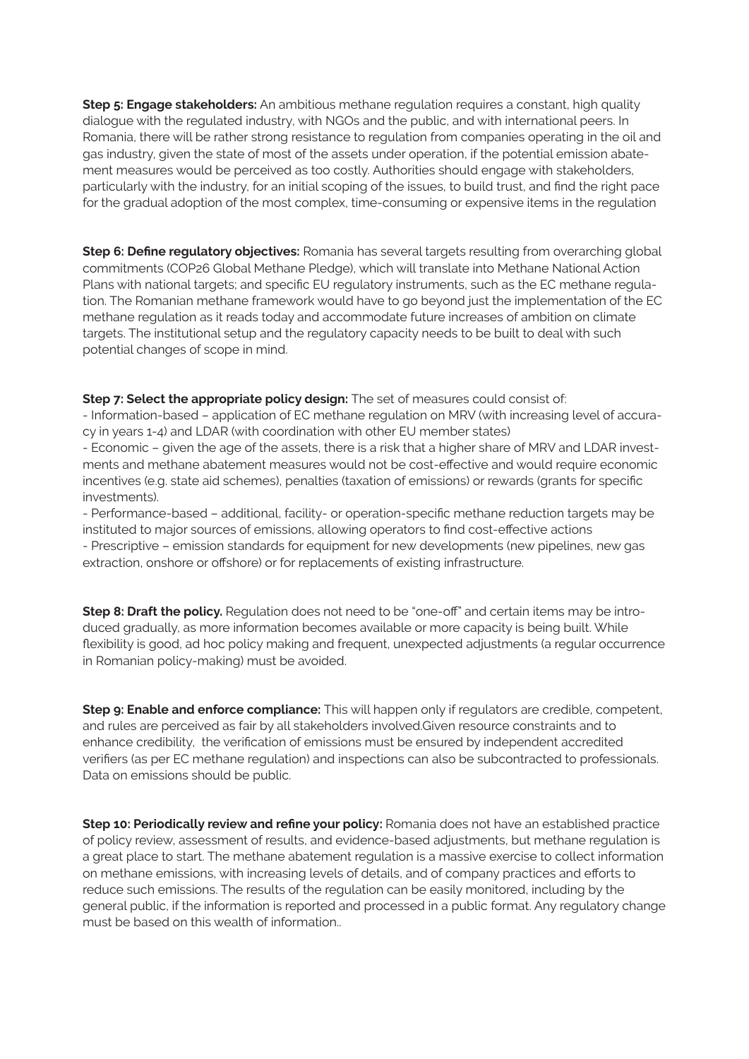**Step 5: Engage stakeholders:** An ambitious methane regulation requires a constant, high quality dialogue with the regulated industry, with NGOs and the public, and with international peers. In Romania, there will be rather strong resistance to regulation from companies operating in the oil and gas industry, given the state of most of the assets under operation, if the potential emission abatement measures would be perceived as too costly. Authorities should engage with stakeholders, particularly with the industry, for an initial scoping of the issues, to build trust, and find the right pace for the gradual adoption of the most complex, time-consuming or expensive items in the regulation

**Step 6: Define regulatory objectives:** Romania has several targets resulting from overarching global commitments (COP26 Global Methane Pledge), which will translate into Methane National Action Plans with national targets; and specific EU regulatory instruments, such as the EC methane regulation. The Romanian methane framework would have to go beyond just the implementation of the EC methane regulation as it reads today and accommodate future increases of ambition on climate targets. The institutional setup and the regulatory capacity needs to be built to deal with such potential changes of scope in mind.

**Step 7: Select the appropriate policy design:** The set of measures could consist of:

- Information-based – application of EC methane regulation on MRV (with increasing level of accuracy in years 1-4) and LDAR (with coordination with other EU member states)

- Economic – given the age of the assets, there is a risk that a higher share of MRV and LDAR investments and methane abatement measures would not be cost-effective and would require economic incentives (e.g. state aid schemes), penalties (taxation of emissions) or rewards (grants for specific investments).

- Performance-based – additional, facility- or operation-specific methane reduction targets may be instituted to major sources of emissions, allowing operators to find cost-effective actions - Prescriptive – emission standards for equipment for new developments (new pipelines, new gas

extraction, onshore or offshore) or for replacements of existing infrastructure.

**Step 8: Draft the policy.** Regulation does not need to be "one-off" and certain items may be introduced gradually, as more information becomes available or more capacity is being built. While flexibility is good, ad hoc policy making and frequent, unexpected adjustments (a regular occurrence in Romanian policy-making) must be avoided.

**Step 9: Enable and enforce compliance:** This will happen only if regulators are credible, competent, and rules are perceived as fair by all stakeholders involved.Given resource constraints and to enhance credibility, the verification of emissions must be ensured by independent accredited verifiers (as per EC methane regulation) and inspections can also be subcontracted to professionals. Data on emissions should be public.

**Step 10: Periodically review and refine your policy:** Romania does not have an established practice of policy review, assessment of results, and evidence-based adjustments, but methane regulation is a great place to start. The methane abatement regulation is a massive exercise to collect information on methane emissions, with increasing levels of details, and of company practices and efforts to reduce such emissions. The results of the regulation can be easily monitored, including by the general public, if the information is reported and processed in a public format. Any regulatory change must be based on this wealth of information..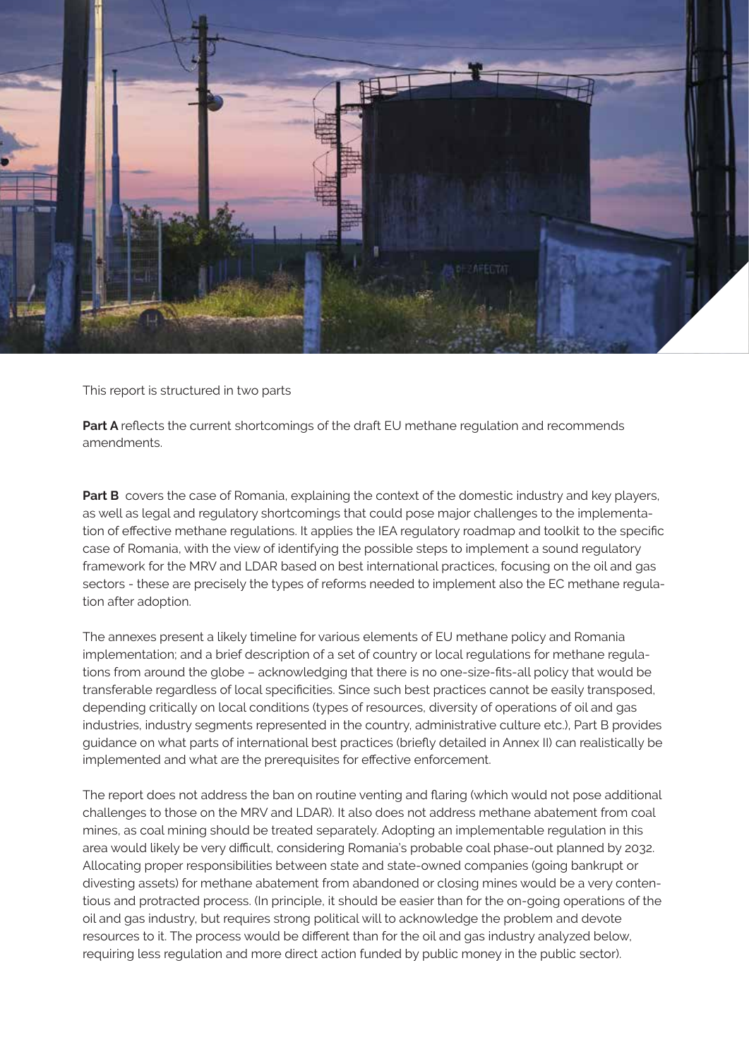

This report is structured in two parts

**Part A** reflects the current shortcomings of the draft EU methane regulation and recommends amendments.

**Part B** covers the case of Romania, explaining the context of the domestic industry and key players, as well as legal and regulatory shortcomings that could pose major challenges to the implementation of effective methane regulations. It applies the IEA regulatory roadmap and toolkit to the specific case of Romania, with the view of identifying the possible steps to implement a sound regulatory framework for the MRV and LDAR based on best international practices, focusing on the oil and gas sectors - these are precisely the types of reforms needed to implement also the EC methane regulation after adoption.

The annexes present a likely timeline for various elements of EU methane policy and Romania implementation; and a brief description of a set of country or local regulations for methane regulations from around the globe – acknowledging that there is no one-size-fits-all policy that would be transferable regardless of local specificities. Since such best practices cannot be easily transposed, depending critically on local conditions (types of resources, diversity of operations of oil and gas industries, industry segments represented in the country, administrative culture etc.), Part B provides guidance on what parts of international best practices (briefly detailed in Annex II) can realistically be implemented and what are the prerequisites for effective enforcement.

The report does not address the ban on routine venting and flaring (which would not pose additional challenges to those on the MRV and LDAR). It also does not address methane abatement from coal mines, as coal mining should be treated separately. Adopting an implementable regulation in this area would likely be very difficult, considering Romania's probable coal phase-out planned by 2032. Allocating proper responsibilities between state and state-owned companies (going bankrupt or divesting assets) for methane abatement from abandoned or closing mines would be a very contentious and protracted process. (In principle, it should be easier than for the on-going operations of the oil and gas industry, but requires strong political will to acknowledge the problem and devote resources to it. The process would be different than for the oil and gas industry analyzed below, requiring less regulation and more direct action funded by public money in the public sector).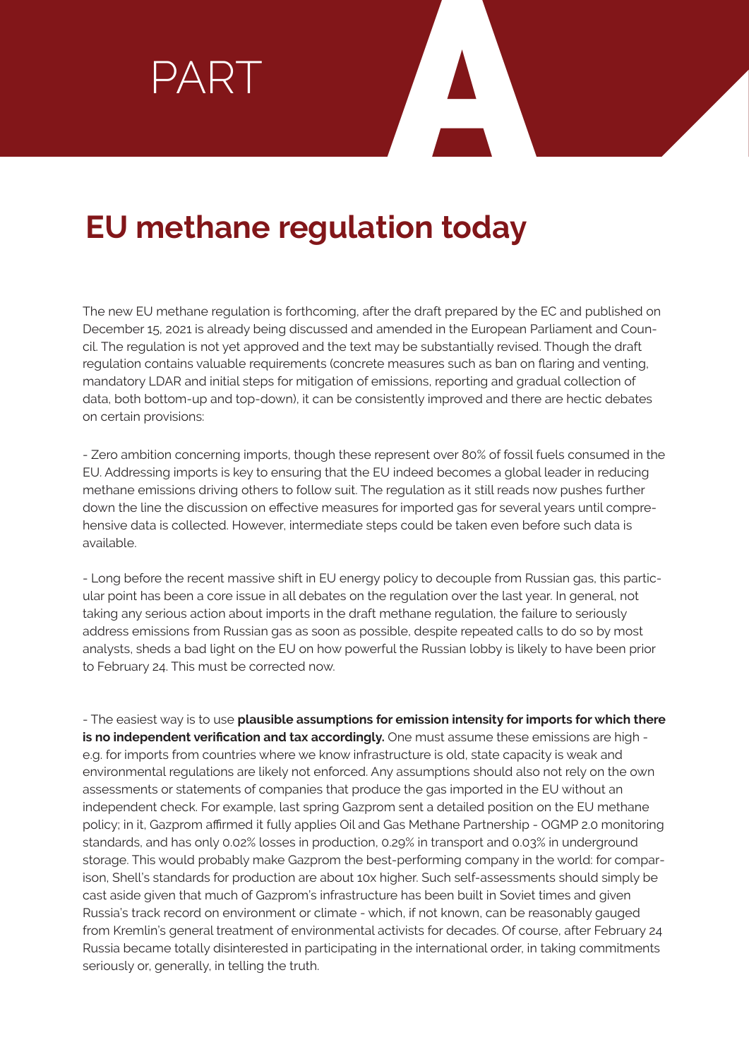### $P\Delta$ RT

### **EU methane regulation today**

The new EU methane regulation is forthcoming, after the draft prepared by the EC and published on December 15, 2021 is already being discussed and amended in the European Parliament and Council. The regulation is not yet approved and the text may be substantially revised. Though the draft regulation contains valuable requirements (concrete measures such as ban on flaring and venting, mandatory LDAR and initial steps for mitigation of emissions, reporting and gradual collection of data, both bottom-up and top-down), it can be consistently improved and there are hectic debates on certain provisions:

A

- Zero ambition concerning imports, though these represent over 80% of fossil fuels consumed in the EU. Addressing imports is key to ensuring that the EU indeed becomes a global leader in reducing methane emissions driving others to follow suit. The regulation as it still reads now pushes further down the line the discussion on effective measures for imported gas for several years until comprehensive data is collected. However, intermediate steps could be taken even before such data is available.

- Long before the recent massive shift in EU energy policy to decouple from Russian gas, this particular point has been a core issue in all debates on the regulation over the last year. In general, not taking any serious action about imports in the draft methane regulation, the failure to seriously address emissions from Russian gas as soon as possible, despite repeated calls to do so by most analysts, sheds a bad light on the EU on how powerful the Russian lobby is likely to have been prior to February 24. This must be corrected now.

- The easiest way is to use **plausible assumptions for emission intensity for imports for which there is no independent verification and tax accordingly.** One must assume these emissions are high e.g. for imports from countries where we know infrastructure is old, state capacity is weak and environmental regulations are likely not enforced. Any assumptions should also not rely on the own assessments or statements of companies that produce the gas imported in the EU without an independent check. For example, last spring Gazprom sent a detailed position on the EU methane policy; in it, Gazprom affirmed it fully applies Oil and Gas Methane Partnership - OGMP 2.0 monitoring standards, and has only 0.02% losses in production, 0.29% in transport and 0.03% in underground storage. This would probably make Gazprom the best-performing company in the world: for comparison, Shell's standards for production are about 10x higher. Such self-assessments should simply be cast aside given that much of Gazprom's infrastructure has been built in Soviet times and given Russia's track record on environment or climate - which, if not known, can be reasonably gauged from Kremlin's general treatment of environmental activists for decades. Of course, after February 24 Russia became totally disinterested in participating in the international order, in taking commitments seriously or, generally, in telling the truth.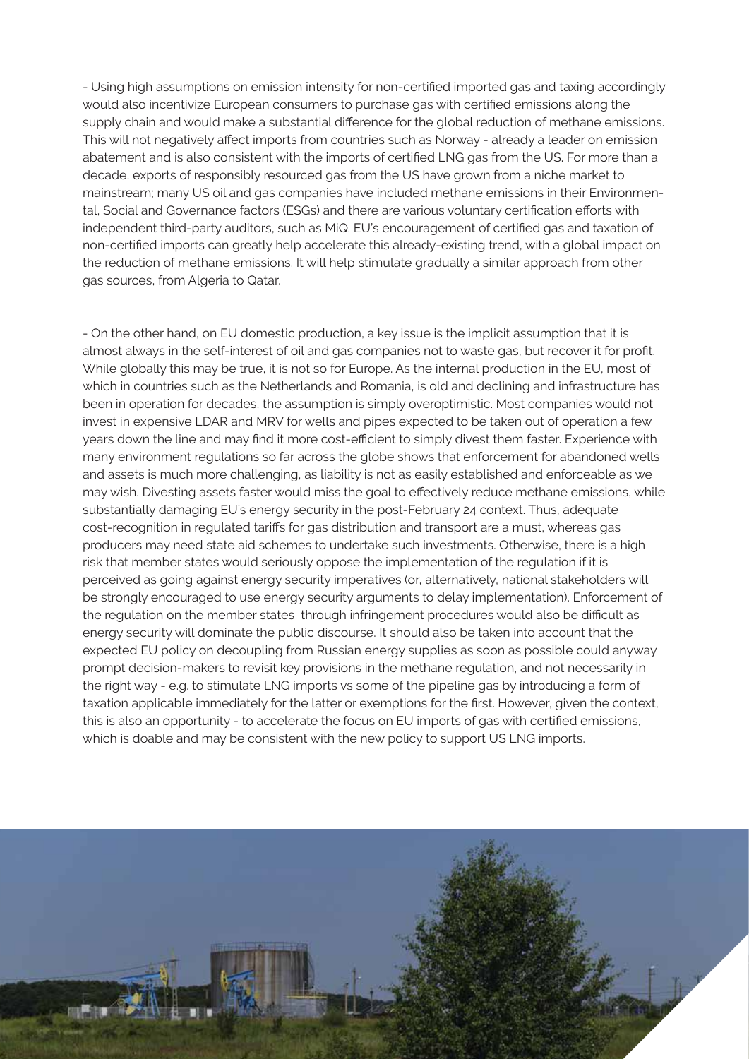- Using high assumptions on emission intensity for non-certified imported gas and taxing accordingly would also incentivize European consumers to purchase gas with certified emissions along the supply chain and would make a substantial difference for the global reduction of methane emissions. This will not negatively affect imports from countries such as Norway - already a leader on emission abatement and is also consistent with the imports of certified LNG gas from the US. For more than a decade, exports of responsibly resourced gas from the US have grown from a niche market to mainstream; many US oil and gas companies have included methane emissions in their Environmental, Social and Governance factors (ESGs) and there are various voluntary certification efforts with independent third-party auditors, such as MiQ. EU's encouragement of certified gas and taxation of non-certified imports can greatly help accelerate this already-existing trend, with a global impact on the reduction of methane emissions. It will help stimulate gradually a similar approach from other gas sources, from Algeria to Qatar.

- On the other hand, on EU domestic production, a key issue is the implicit assumption that it is almost always in the self-interest of oil and gas companies not to waste gas, but recover it for profit. While globally this may be true, it is not so for Europe. As the internal production in the EU, most of which in countries such as the Netherlands and Romania, is old and declining and infrastructure has been in operation for decades, the assumption is simply overoptimistic. Most companies would not invest in expensive LDAR and MRV for wells and pipes expected to be taken out of operation a few years down the line and may find it more cost-efficient to simply divest them faster. Experience with many environment regulations so far across the globe shows that enforcement for abandoned wells and assets is much more challenging, as liability is not as easily established and enforceable as we may wish. Divesting assets faster would miss the goal to effectively reduce methane emissions, while substantially damaging EU's energy security in the post-February 24 context. Thus, adequate cost-recognition in regulated tariffs for gas distribution and transport are a must, whereas gas producers may need state aid schemes to undertake such investments. Otherwise, there is a high risk that member states would seriously oppose the implementation of the regulation if it is perceived as going against energy security imperatives (or, alternatively, national stakeholders will be strongly encouraged to use energy security arguments to delay implementation). Enforcement of the regulation on the member states through infringement procedures would also be difficult as energy security will dominate the public discourse. It should also be taken into account that the expected EU policy on decoupling from Russian energy supplies as soon as possible could anyway prompt decision-makers to revisit key provisions in the methane regulation, and not necessarily in the right way - e.g. to stimulate LNG imports vs some of the pipeline gas by introducing a form of taxation applicable immediately for the latter or exemptions for the first. However, given the context, this is also an opportunity - to accelerate the focus on EU imports of gas with certified emissions, which is doable and may be consistent with the new policy to support US LNG imports.

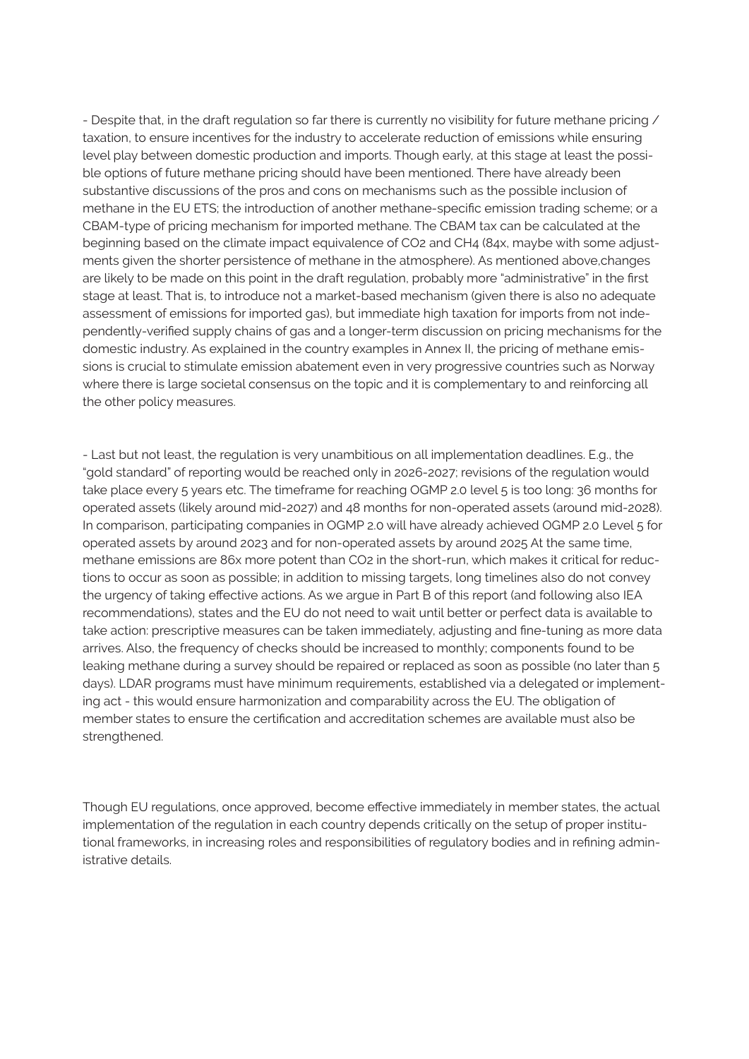- Despite that, in the draft regulation so far there is currently no visibility for future methane pricing / taxation, to ensure incentives for the industry to accelerate reduction of emissions while ensuring level play between domestic production and imports. Though early, at this stage at least the possible options of future methane pricing should have been mentioned. There have already been substantive discussions of the pros and cons on mechanisms such as the possible inclusion of methane in the EU ETS; the introduction of another methane-specific emission trading scheme; or a CBAM-type of pricing mechanism for imported methane. The CBAM tax can be calculated at the beginning based on the climate impact equivalence of CO2 and CH4 (84x, maybe with some adjustments given the shorter persistence of methane in the atmosphere). As mentioned above,changes are likely to be made on this point in the draft regulation, probably more "administrative" in the first stage at least. That is, to introduce not a market-based mechanism (given there is also no adequate assessment of emissions for imported gas), but immediate high taxation for imports from not independently-verified supply chains of gas and a longer-term discussion on pricing mechanisms for the domestic industry. As explained in the country examples in Annex II, the pricing of methane emissions is crucial to stimulate emission abatement even in very progressive countries such as Norway where there is large societal consensus on the topic and it is complementary to and reinforcing all the other policy measures.

- Last but not least, the regulation is very unambitious on all implementation deadlines. E.g., the "gold standard" of reporting would be reached only in 2026-2027; revisions of the regulation would take place every 5 years etc. The timeframe for reaching OGMP 2.0 level 5 is too long: 36 months for operated assets (likely around mid-2027) and 48 months for non-operated assets (around mid-2028). In comparison, participating companies in OGMP 2.0 will have already achieved OGMP 2.0 Level 5 for operated assets by around 2023 and for non-operated assets by around 2025 At the same time, methane emissions are 86x more potent than CO2 in the short-run, which makes it critical for reductions to occur as soon as possible; in addition to missing targets, long timelines also do not convey the urgency of taking effective actions. As we argue in Part B of this report (and following also IEA recommendations), states and the EU do not need to wait until better or perfect data is available to take action: prescriptive measures can be taken immediately, adjusting and fine-tuning as more data arrives. Also, the frequency of checks should be increased to monthly; components found to be leaking methane during a survey should be repaired or replaced as soon as possible (no later than 5 days). LDAR programs must have minimum requirements, established via a delegated or implementing act - this would ensure harmonization and comparability across the EU. The obligation of member states to ensure the certification and accreditation schemes are available must also be strengthened.

Though EU regulations, once approved, become effective immediately in member states, the actual implementation of the regulation in each country depends critically on the setup of proper institutional frameworks, in increasing roles and responsibilities of regulatory bodies and in refining administrative details.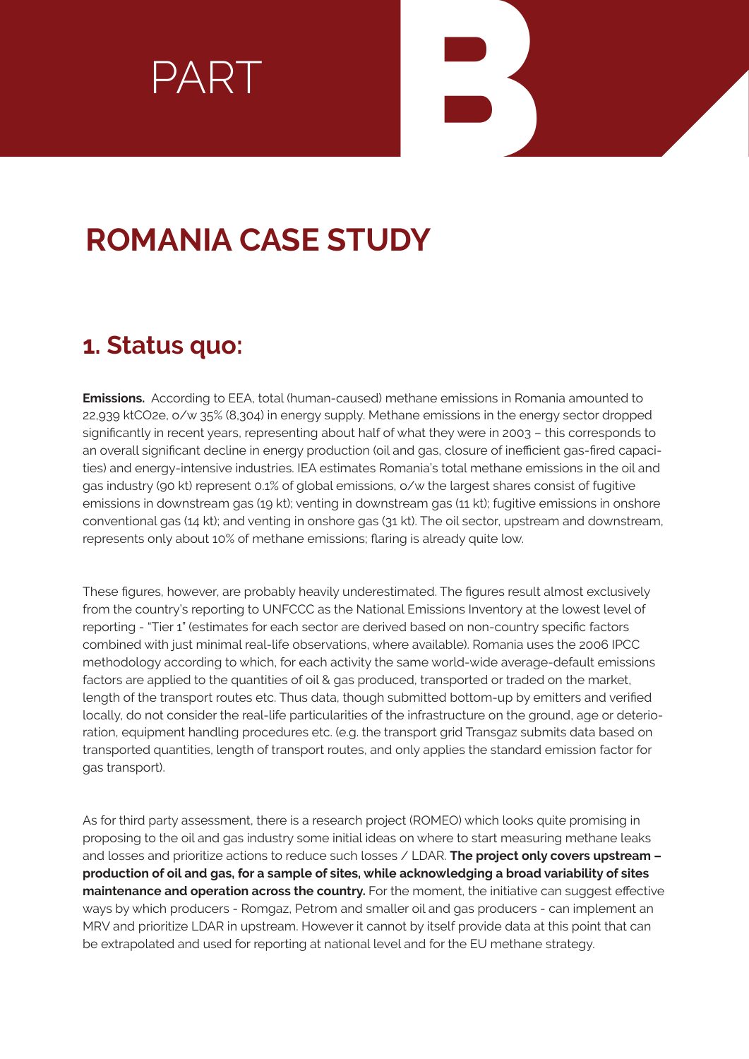## PART

### **ROMANIA CASE STUDY**

### **1. Status quo:**

**Emissions.** According to EEA, total (human-caused) methane emissions in Romania amounted to 22,939 ktCO2e, o/w 35% (8,304) in energy supply. Methane emissions in the energy sector dropped significantly in recent years, representing about half of what they were in 2003 – this corresponds to an overall significant decline in energy production (oil and gas, closure of inefficient gas-fired capacities) and energy-intensive industries. IEA estimates Romania's total methane emissions in the oil and gas industry (90 kt) represent 0.1% of global emissions, o/w the largest shares consist of fugitive emissions in downstream gas (19 kt); venting in downstream gas (11 kt); fugitive emissions in onshore conventional gas (14 kt); and venting in onshore gas (31 kt). The oil sector, upstream and downstream, represents only about 10% of methane emissions; flaring is already quite low.

B

These figures, however, are probably heavily underestimated. The figures result almost exclusively from the country's reporting to UNFCCC as the National Emissions Inventory at the lowest level of reporting - "Tier 1" (estimates for each sector are derived based on non-country specific factors combined with just minimal real-life observations, where available). Romania uses the 2006 IPCC methodology according to which, for each activity the same world-wide average-default emissions factors are applied to the quantities of oil & gas produced, transported or traded on the market, length of the transport routes etc. Thus data, though submitted bottom-up by emitters and verified locally, do not consider the real-life particularities of the infrastructure on the ground, age or deterioration, equipment handling procedures etc. (e.g. the transport grid Transgaz submits data based on transported quantities, length of transport routes, and only applies the standard emission factor for gas transport).

As for third party assessment, there is a research project (ROMEO) which looks quite promising in proposing to the oil and gas industry some initial ideas on where to start measuring methane leaks and losses and prioritize actions to reduce such losses / LDAR. **The project only covers upstream – production of oil and gas, for a sample of sites, while acknowledging a broad variability of sites maintenance and operation across the country.** For the moment, the initiative can suggest effective ways by which producers - Romgaz, Petrom and smaller oil and gas producers - can implement an MRV and prioritize LDAR in upstream. However it cannot by itself provide data at this point that can be extrapolated and used for reporting at national level and for the EU methane strategy.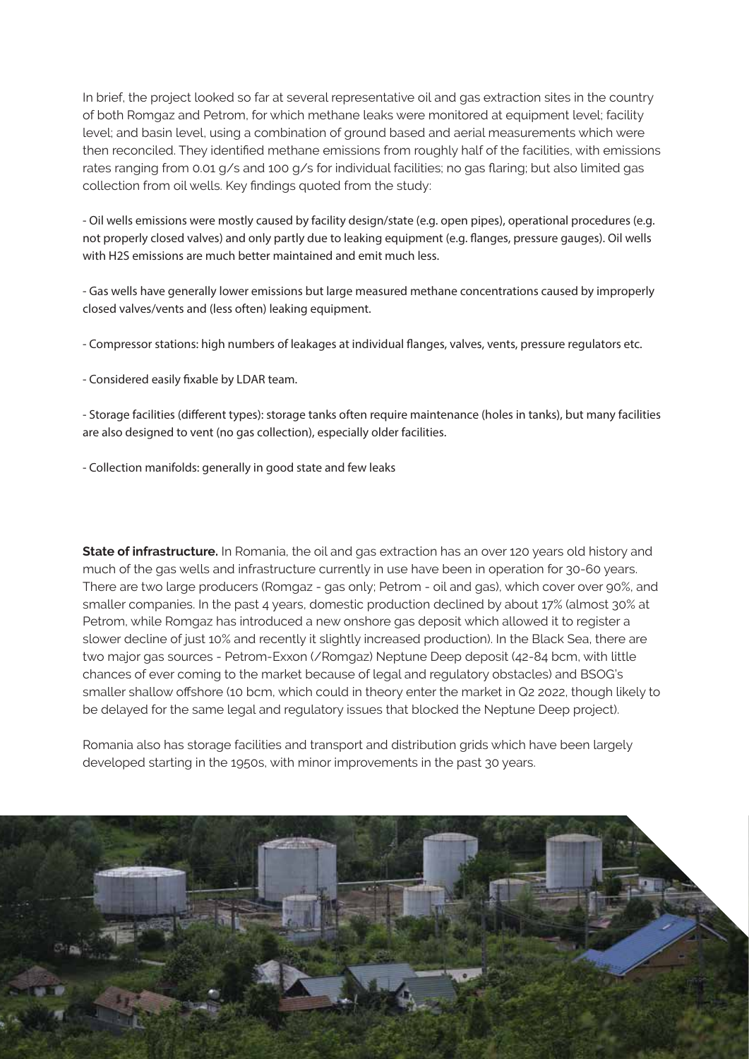In brief, the project looked so far at several representative oil and gas extraction sites in the country of both Romgaz and Petrom, for which methane leaks were monitored at equipment level; facility level; and basin level, using a combination of ground based and aerial measurements which were then reconciled. They identified methane emissions from roughly half of the facilities, with emissions rates ranging from 0.01 g/s and 100 g/s for individual facilities; no gas flaring; but also limited gas collection from oil wells. Key findings quoted from the study:

- Oil wells emissions were mostly caused by facility design/state (e.g. open pipes), operational procedures (e.g. not properly closed valves) and only partly due to leaking equipment (e.g. flanges, pressure gauges). Oil wells with H2S emissions are much better maintained and emit much less.

- Gas wells have generally lower emissions but large measured methane concentrations caused by improperly closed valves/vents and (less often) leaking equipment.

- Compressor stations: high numbers of leakages at individual flanges, valves, vents, pressure regulators etc.

- Considered easily fixable by LDAR team.

- Storage facilities (different types): storage tanks often require maintenance (holes in tanks), but many facilities are also designed to vent (no gas collection), especially older facilities.

- Collection manifolds: generally in good state and few leaks

**State of infrastructure.** In Romania, the oil and gas extraction has an over 120 years old history and much of the gas wells and infrastructure currently in use have been in operation for 30-60 years. There are two large producers (Romgaz - gas only; Petrom - oil and gas), which cover over 90%, and smaller companies. In the past 4 years, domestic production declined by about 17% (almost 30% at Petrom, while Romgaz has introduced a new onshore gas deposit which allowed it to register a slower decline of just 10% and recently it slightly increased production). In the Black Sea, there are two major gas sources - Petrom-Exxon (/Romgaz) Neptune Deep deposit (42-84 bcm, with little chances of ever coming to the market because of legal and regulatory obstacles) and BSOG's smaller shallow offshore (10 bcm, which could in theory enter the market in Q2 2022, though likely to be delayed for the same legal and regulatory issues that blocked the Neptune Deep project).

Romania also has storage facilities and transport and distribution grids which have been largely developed starting in the 1950s, with minor improvements in the past 30 years.

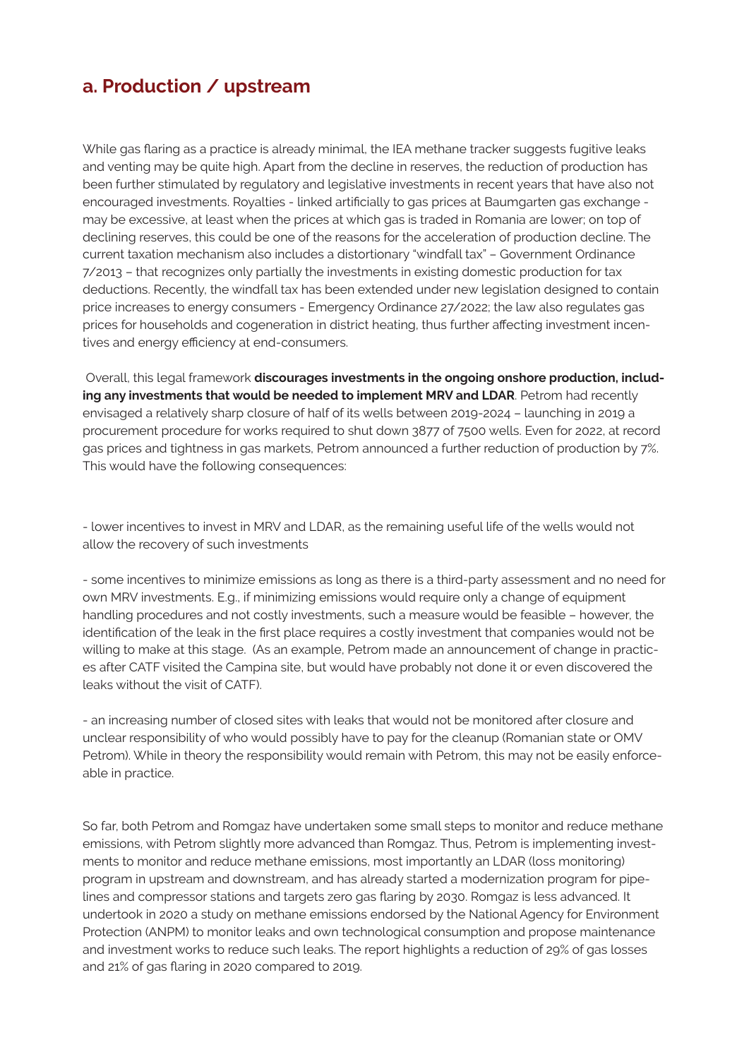#### **a. Production / upstream**

While gas flaring as a practice is already minimal, the IEA methane tracker suggests fugitive leaks and venting may be quite high. Apart from the decline in reserves, the reduction of production has been further stimulated by regulatory and legislative investments in recent years that have also not encouraged investments. Royalties - linked artificially to gas prices at Baumgarten gas exchange may be excessive, at least when the prices at which gas is traded in Romania are lower; on top of declining reserves, this could be one of the reasons for the acceleration of production decline. The current taxation mechanism also includes a distortionary "windfall tax" – Government Ordinance 7/2013 – that recognizes only partially the investments in existing domestic production for tax deductions. Recently, the windfall tax has been extended under new legislation designed to contain price increases to energy consumers - Emergency Ordinance 27/2022; the law also regulates gas prices for households and cogeneration in district heating, thus further affecting investment incentives and energy efficiency at end-consumers.

 Overall, this legal framework **discourages investments in the ongoing onshore production, including any investments that would be needed to implement MRV and LDAR**. Petrom had recently envisaged a relatively sharp closure of half of its wells between 2019-2024 – launching in 2019 a procurement procedure for works required to shut down 3877 of 7500 wells. Even for 2022, at record gas prices and tightness in gas markets, Petrom announced a further reduction of production by 7%. This would have the following consequences:

- lower incentives to invest in MRV and LDAR, as the remaining useful life of the wells would not allow the recovery of such investments

- some incentives to minimize emissions as long as there is a third-party assessment and no need for own MRV investments. E.g., if minimizing emissions would require only a change of equipment handling procedures and not costly investments, such a measure would be feasible – however, the identification of the leak in the first place requires a costly investment that companies would not be willing to make at this stage. (As an example, Petrom made an announcement of change in practices after CATF visited the Campina site, but would have probably not done it or even discovered the leaks without the visit of CATF).

- an increasing number of closed sites with leaks that would not be monitored after closure and unclear responsibility of who would possibly have to pay for the cleanup (Romanian state or OMV Petrom). While in theory the responsibility would remain with Petrom, this may not be easily enforceable in practice.

So far, both Petrom and Romgaz have undertaken some small steps to monitor and reduce methane emissions, with Petrom slightly more advanced than Romgaz. Thus, Petrom is implementing investments to monitor and reduce methane emissions, most importantly an LDAR (loss monitoring) program in upstream and downstream, and has already started a modernization program for pipelines and compressor stations and targets zero gas flaring by 2030. Romgaz is less advanced. It undertook in 2020 a study on methane emissions endorsed by the National Agency for Environment Protection (ANPM) to monitor leaks and own technological consumption and propose maintenance and investment works to reduce such leaks. The report highlights a reduction of 29% of gas losses and 21% of gas flaring in 2020 compared to 2019.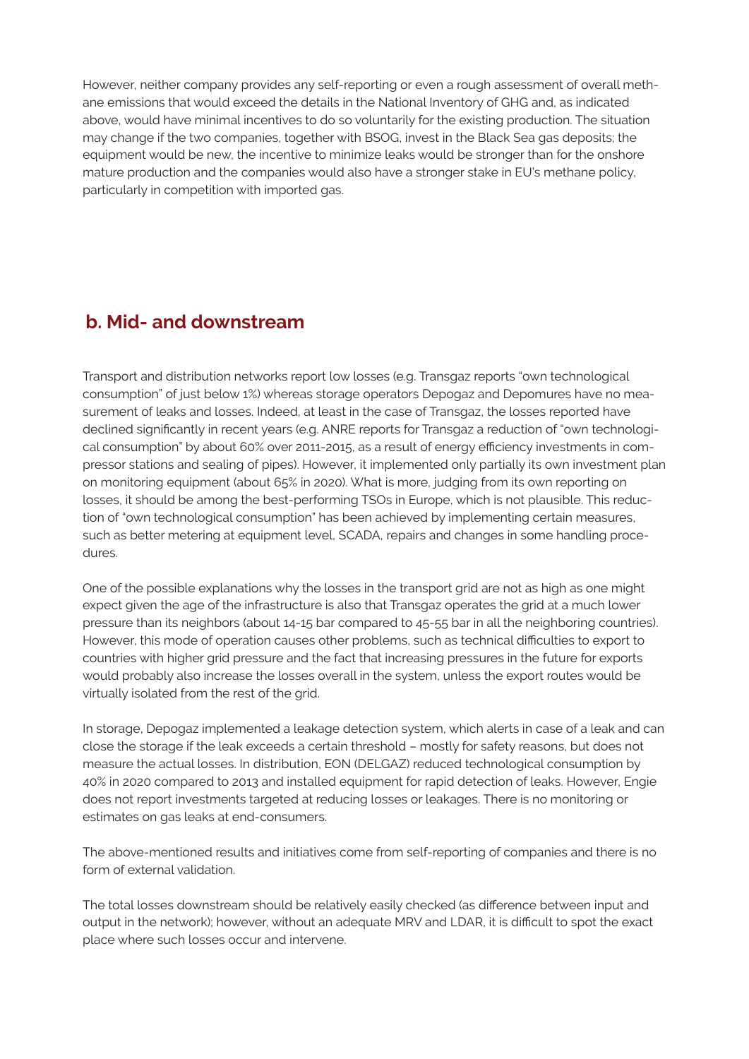However, neither company provides any self-reporting or even a rough assessment of overall methane emissions that would exceed the details in the National Inventory of GHG and, as indicated above, would have minimal incentives to do so voluntarily for the existing production. The situation may change if the two companies, together with BSOG, invest in the Black Sea gas deposits; the equipment would be new, the incentive to minimize leaks would be stronger than for the onshore mature production and the companies would also have a stronger stake in EU's methane policy, particularly in competition with imported gas.

#### **b. Mid- and downstream**

Transport and distribution networks report low losses (e.g. Transgaz reports "own technological consumption" of just below 1%) whereas storage operators Depogaz and Depomures have no measurement of leaks and losses. Indeed, at least in the case of Transgaz, the losses reported have declined significantly in recent years (e.g. ANRE reports for Transgaz a reduction of "own technological consumption" by about 60% over 2011-2015, as a result of energy efficiency investments in compressor stations and sealing of pipes). However, it implemented only partially its own investment plan on monitoring equipment (about 65% in 2020). What is more, judging from its own reporting on losses, it should be among the best-performing TSOs in Europe, which is not plausible. This reduction of "own technological consumption" has been achieved by implementing certain measures, such as better metering at equipment level, SCADA, repairs and changes in some handling procedures.

One of the possible explanations why the losses in the transport grid are not as high as one might expect given the age of the infrastructure is also that Transgaz operates the grid at a much lower pressure than its neighbors (about 14-15 bar compared to 45-55 bar in all the neighboring countries). However, this mode of operation causes other problems, such as technical difficulties to export to countries with higher grid pressure and the fact that increasing pressures in the future for exports would probably also increase the losses overall in the system, unless the export routes would be virtually isolated from the rest of the grid.

In storage, Depogaz implemented a leakage detection system, which alerts in case of a leak and can close the storage if the leak exceeds a certain threshold – mostly for safety reasons, but does not measure the actual losses. In distribution, EON (DELGAZ) reduced technological consumption by 40% in 2020 compared to 2013 and installed equipment for rapid detection of leaks. However, Engie does not report investments targeted at reducing losses or leakages. There is no monitoring or estimates on gas leaks at end-consumers.

The above-mentioned results and initiatives come from self-reporting of companies and there is no form of external validation.

The total losses downstream should be relatively easily checked (as difference between input and output in the network); however, without an adequate MRV and LDAR, it is difficult to spot the exact place where such losses occur and intervene.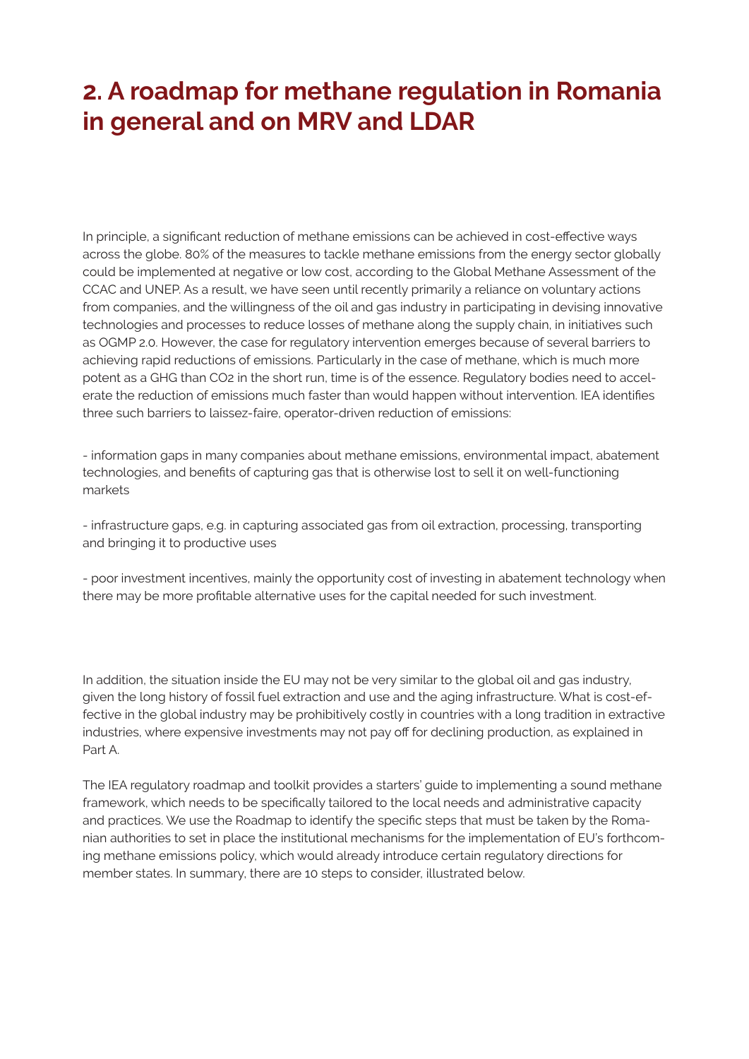### **2. A roadmap for methane regulation in Romania in general and on MRV and LDAR**

In principle, a significant reduction of methane emissions can be achieved in cost-effective ways across the globe. 80% of the measures to tackle methane emissions from the energy sector globally could be implemented at negative or low cost, according to the Global Methane Assessment of the CCAC and UNEP. As a result, we have seen until recently primarily a reliance on voluntary actions from companies, and the willingness of the oil and gas industry in participating in devising innovative technologies and processes to reduce losses of methane along the supply chain, in initiatives such as OGMP 2.0. However, the case for regulatory intervention emerges because of several barriers to achieving rapid reductions of emissions. Particularly in the case of methane, which is much more potent as a GHG than CO2 in the short run, time is of the essence. Regulatory bodies need to accelerate the reduction of emissions much faster than would happen without intervention. IEA identifies three such barriers to laissez-faire, operator-driven reduction of emissions:

- information gaps in many companies about methane emissions, environmental impact, abatement technologies, and benefits of capturing gas that is otherwise lost to sell it on well-functioning markets

- infrastructure gaps, e.g. in capturing associated gas from oil extraction, processing, transporting and bringing it to productive uses

- poor investment incentives, mainly the opportunity cost of investing in abatement technology when there may be more profitable alternative uses for the capital needed for such investment.

In addition, the situation inside the EU may not be very similar to the global oil and gas industry, given the long history of fossil fuel extraction and use and the aging infrastructure. What is cost-effective in the global industry may be prohibitively costly in countries with a long tradition in extractive industries, where expensive investments may not pay off for declining production, as explained in Part A.

The IEA regulatory roadmap and toolkit provides a starters' guide to implementing a sound methane framework, which needs to be specifically tailored to the local needs and administrative capacity and practices. We use the Roadmap to identify the specific steps that must be taken by the Romanian authorities to set in place the institutional mechanisms for the implementation of EU's forthcoming methane emissions policy, which would already introduce certain regulatory directions for member states. In summary, there are 10 steps to consider, illustrated below.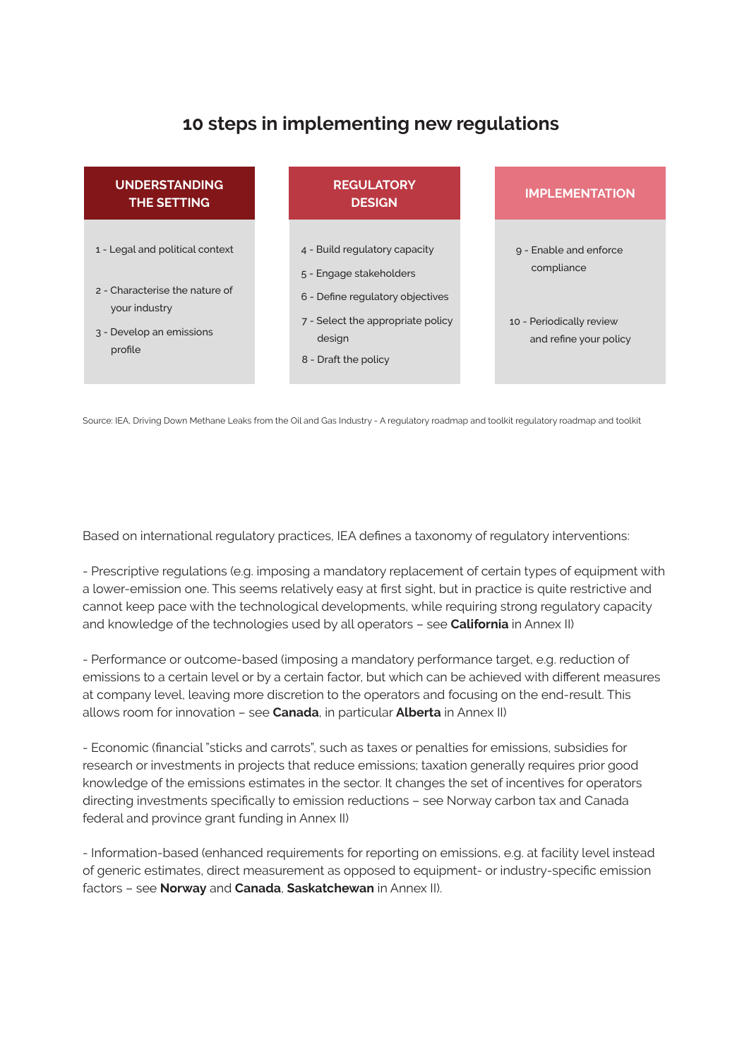#### **10 steps in implementing new regulations**



Source: IEA, Driving Down Methane Leaks from the Oil and Gas Industry - A regulatory roadmap and toolkit regulatory roadmap and toolkit

Based on international regulatory practices, IEA defines a taxonomy of regulatory interventions:

- Prescriptive regulations (e.g. imposing a mandatory replacement of certain types of equipment with a lower-emission one. This seems relatively easy at first sight, but in practice is quite restrictive and cannot keep pace with the technological developments, while requiring strong regulatory capacity and knowledge of the technologies used by all operators – see **California** in Annex II)

- Performance or outcome-based (imposing a mandatory performance target, e.g. reduction of emissions to a certain level or by a certain factor, but which can be achieved with different measures at company level, leaving more discretion to the operators and focusing on the end-result. This allows room for innovation – see **Canada**, in particular **Alberta** in Annex II)

- Economic (financial "sticks and carrots", such as taxes or penalties for emissions, subsidies for research or investments in projects that reduce emissions; taxation generally requires prior good knowledge of the emissions estimates in the sector. It changes the set of incentives for operators directing investments specifically to emission reductions – see Norway carbon tax and Canada federal and province grant funding in Annex II)

- Information-based (enhanced requirements for reporting on emissions, e.g. at facility level instead of generic estimates, direct measurement as opposed to equipment- or industry-specific emission factors – see **Norway** and **Canada**, **Saskatchewan** in Annex II).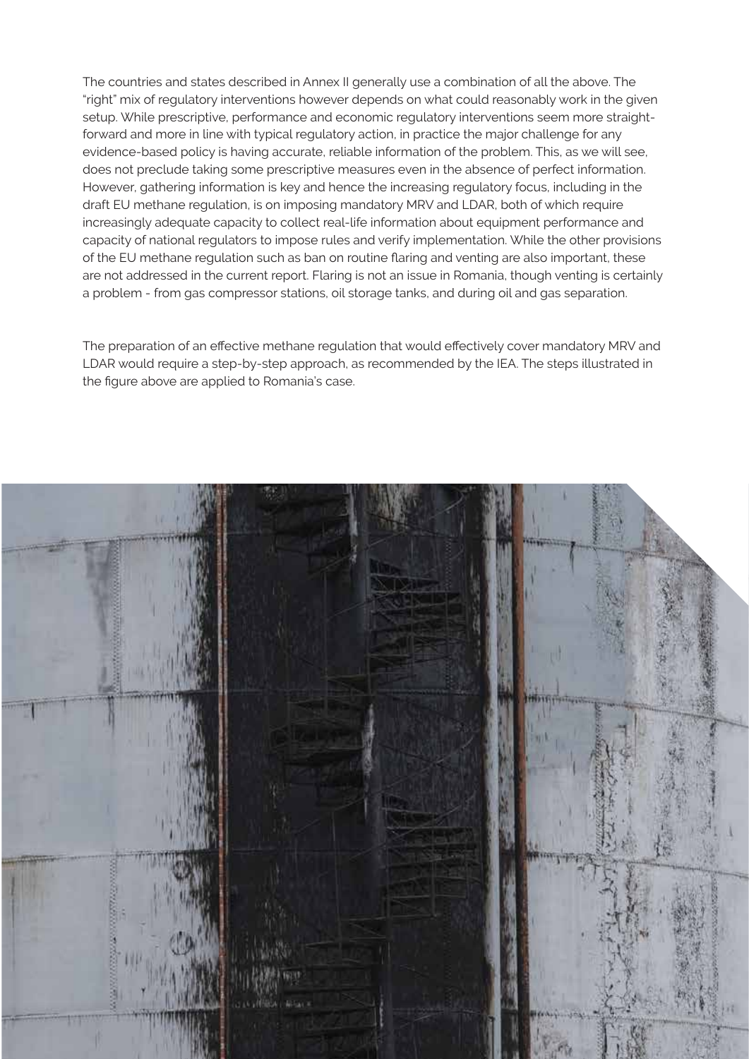The countries and states described in Annex II generally use a combination of all the above. The "right" mix of regulatory interventions however depends on what could reasonably work in the given setup. While prescriptive, performance and economic regulatory interventions seem more straightforward and more in line with typical regulatory action, in practice the major challenge for any evidence-based policy is having accurate, reliable information of the problem. This, as we will see, does not preclude taking some prescriptive measures even in the absence of perfect information. However, gathering information is key and hence the increasing regulatory focus, including in the draft EU methane regulation, is on imposing mandatory MRV and LDAR, both of which require increasingly adequate capacity to collect real-life information about equipment performance and capacity of national regulators to impose rules and verify implementation. While the other provisions of the EU methane regulation such as ban on routine flaring and venting are also important, these are not addressed in the current report. Flaring is not an issue in Romania, though venting is certainly a problem - from gas compressor stations, oil storage tanks, and during oil and gas separation.

The preparation of an effective methane regulation that would effectively cover mandatory MRV and LDAR would require a step-by-step approach, as recommended by the IEA. The steps illustrated in the figure above are applied to Romania's case.

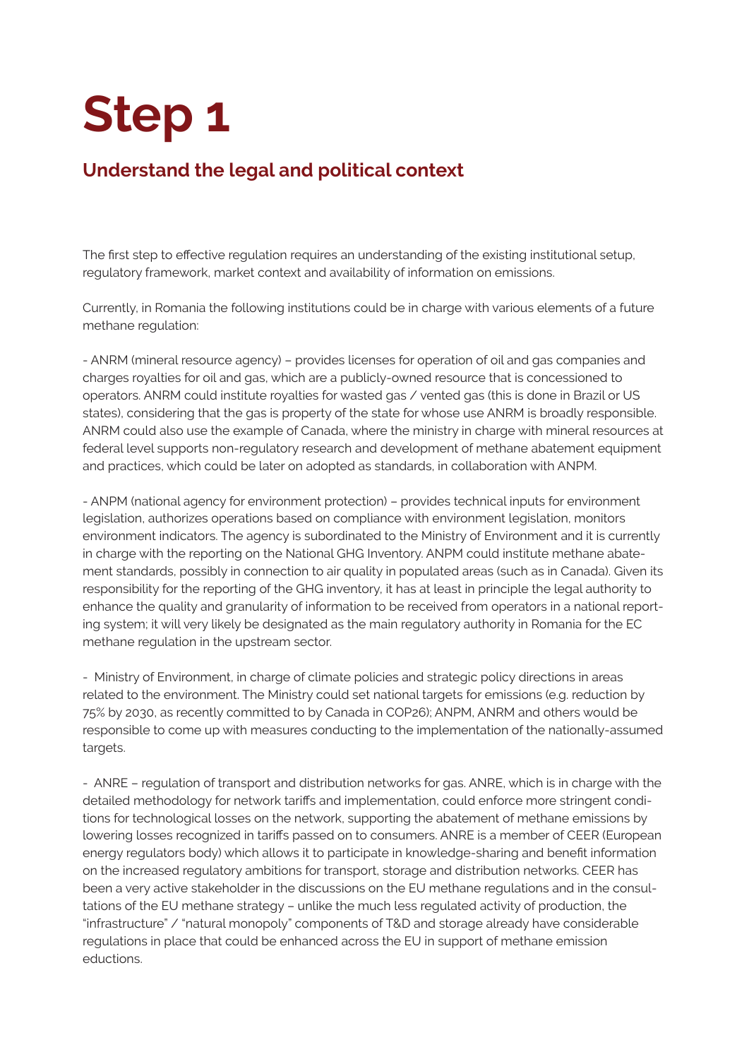#### **Understand the legal and political context**

The first step to effective regulation requires an understanding of the existing institutional setup, regulatory framework, market context and availability of information on emissions.

Currently, in Romania the following institutions could be in charge with various elements of a future methane regulation:

- ANRM (mineral resource agency) – provides licenses for operation of oil and gas companies and charges royalties for oil and gas, which are a publicly-owned resource that is concessioned to operators. ANRM could institute royalties for wasted gas / vented gas (this is done in Brazil or US states), considering that the gas is property of the state for whose use ANRM is broadly responsible. ANRM could also use the example of Canada, where the ministry in charge with mineral resources at federal level supports non-regulatory research and development of methane abatement equipment and practices, which could be later on adopted as standards, in collaboration with ANPM.

- ANPM (national agency for environment protection) – provides technical inputs for environment legislation, authorizes operations based on compliance with environment legislation, monitors environment indicators. The agency is subordinated to the Ministry of Environment and it is currently in charge with the reporting on the National GHG Inventory. ANPM could institute methane abatement standards, possibly in connection to air quality in populated areas (such as in Canada). Given its responsibility for the reporting of the GHG inventory, it has at least in principle the legal authority to enhance the quality and granularity of information to be received from operators in a national reporting system; it will very likely be designated as the main regulatory authority in Romania for the EC methane regulation in the upstream sector.

- Ministry of Environment, in charge of climate policies and strategic policy directions in areas related to the environment. The Ministry could set national targets for emissions (e.g. reduction by 75% by 2030, as recently committed to by Canada in COP26); ANPM, ANRM and others would be responsible to come up with measures conducting to the implementation of the nationally-assumed targets.

- ANRE – regulation of transport and distribution networks for gas. ANRE, which is in charge with the detailed methodology for network tariffs and implementation, could enforce more stringent conditions for technological losses on the network, supporting the abatement of methane emissions by lowering losses recognized in tariffs passed on to consumers. ANRE is a member of CEER (European energy regulators body) which allows it to participate in knowledge-sharing and benefit information on the increased regulatory ambitions for transport, storage and distribution networks. CEER has been a very active stakeholder in the discussions on the EU methane regulations and in the consultations of the EU methane strategy – unlike the much less regulated activity of production, the "infrastructure" / "natural monopoly" components of T&D and storage already have considerable regulations in place that could be enhanced across the EU in support of methane emission eductions.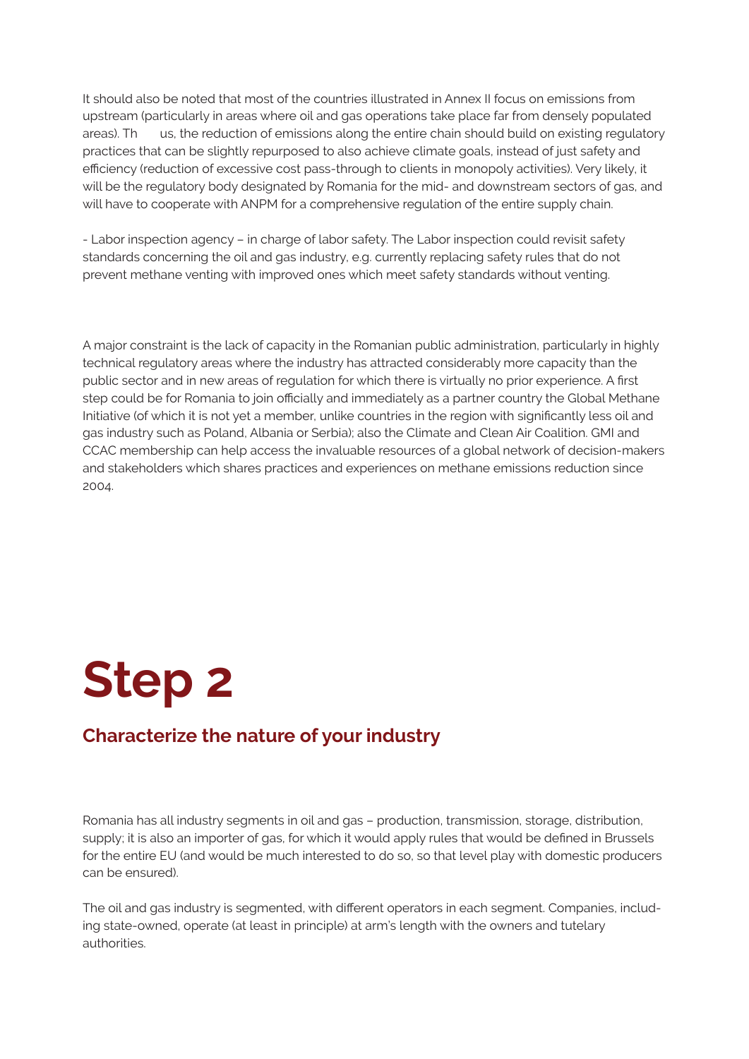It should also be noted that most of the countries illustrated in Annex II focus on emissions from upstream (particularly in areas where oil and gas operations take place far from densely populated areas). Th us, the reduction of emissions along the entire chain should build on existing regulatory practices that can be slightly repurposed to also achieve climate goals, instead of just safety and efficiency (reduction of excessive cost pass-through to clients in monopoly activities). Very likely, it will be the regulatory body designated by Romania for the mid- and downstream sectors of gas, and will have to cooperate with ANPM for a comprehensive regulation of the entire supply chain.

- Labor inspection agency – in charge of labor safety. The Labor inspection could revisit safety standards concerning the oil and gas industry, e.g. currently replacing safety rules that do not prevent methane venting with improved ones which meet safety standards without venting.

A major constraint is the lack of capacity in the Romanian public administration, particularly in highly technical regulatory areas where the industry has attracted considerably more capacity than the public sector and in new areas of regulation for which there is virtually no prior experience. A first step could be for Romania to join officially and immediately as a partner country the Global Methane Initiative (of which it is not yet a member, unlike countries in the region with significantly less oil and gas industry such as Poland, Albania or Serbia); also the Climate and Clean Air Coalition. GMI and CCAC membership can help access the invaluable resources of a global network of decision-makers and stakeholders which shares practices and experiences on methane emissions reduction since 2004.

## **Step 2**

#### **Characterize the nature of your industry**

Romania has all industry segments in oil and gas – production, transmission, storage, distribution, supply; it is also an importer of gas, for which it would apply rules that would be defined in Brussels for the entire EU (and would be much interested to do so, so that level play with domestic producers can be ensured).

The oil and gas industry is segmented, with different operators in each segment. Companies, including state-owned, operate (at least in principle) at arm's length with the owners and tutelary authorities.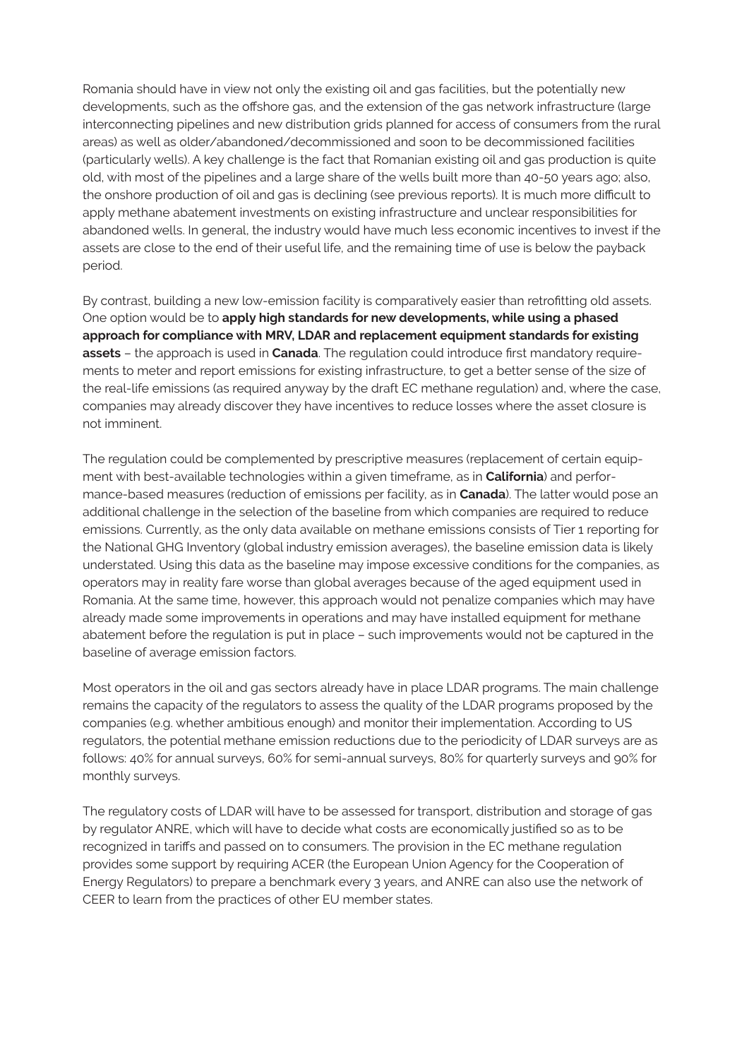Romania should have in view not only the existing oil and gas facilities, but the potentially new developments, such as the offshore gas, and the extension of the gas network infrastructure (large interconnecting pipelines and new distribution grids planned for access of consumers from the rural areas) as well as older/abandoned/decommissioned and soon to be decommissioned facilities (particularly wells). A key challenge is the fact that Romanian existing oil and gas production is quite old, with most of the pipelines and a large share of the wells built more than 40-50 years ago; also, the onshore production of oil and gas is declining (see previous reports). It is much more difficult to apply methane abatement investments on existing infrastructure and unclear responsibilities for abandoned wells. In general, the industry would have much less economic incentives to invest if the assets are close to the end of their useful life, and the remaining time of use is below the payback period.

By contrast, building a new low-emission facility is comparatively easier than retrofitting old assets. One option would be to **apply high standards for new developments, while using a phased approach for compliance with MRV, LDAR and replacement equipment standards for existing assets** – the approach is used in **Canada**. The regulation could introduce first mandatory requirements to meter and report emissions for existing infrastructure, to get a better sense of the size of the real-life emissions (as required anyway by the draft EC methane regulation) and, where the case, companies may already discover they have incentives to reduce losses where the asset closure is not imminent.

The regulation could be complemented by prescriptive measures (replacement of certain equipment with best-available technologies within a given timeframe, as in **California**) and performance-based measures (reduction of emissions per facility, as in **Canada**). The latter would pose an additional challenge in the selection of the baseline from which companies are required to reduce emissions. Currently, as the only data available on methane emissions consists of Tier 1 reporting for the National GHG Inventory (global industry emission averages), the baseline emission data is likely understated. Using this data as the baseline may impose excessive conditions for the companies, as operators may in reality fare worse than global averages because of the aged equipment used in Romania. At the same time, however, this approach would not penalize companies which may have already made some improvements in operations and may have installed equipment for methane abatement before the regulation is put in place – such improvements would not be captured in the baseline of average emission factors.

Most operators in the oil and gas sectors already have in place LDAR programs. The main challenge remains the capacity of the regulators to assess the quality of the LDAR programs proposed by the companies (e.g. whether ambitious enough) and monitor their implementation. According to US regulators, the potential methane emission reductions due to the periodicity of LDAR surveys are as follows: 40% for annual surveys, 60% for semi-annual surveys, 80% for quarterly surveys and 90% for monthly surveys.

The regulatory costs of LDAR will have to be assessed for transport, distribution and storage of gas by regulator ANRE, which will have to decide what costs are economically justified so as to be recognized in tariffs and passed on to consumers. The provision in the EC methane regulation provides some support by requiring ACER (the European Union Agency for the Cooperation of Energy Regulators) to prepare a benchmark every 3 years, and ANRE can also use the network of CEER to learn from the practices of other EU member states.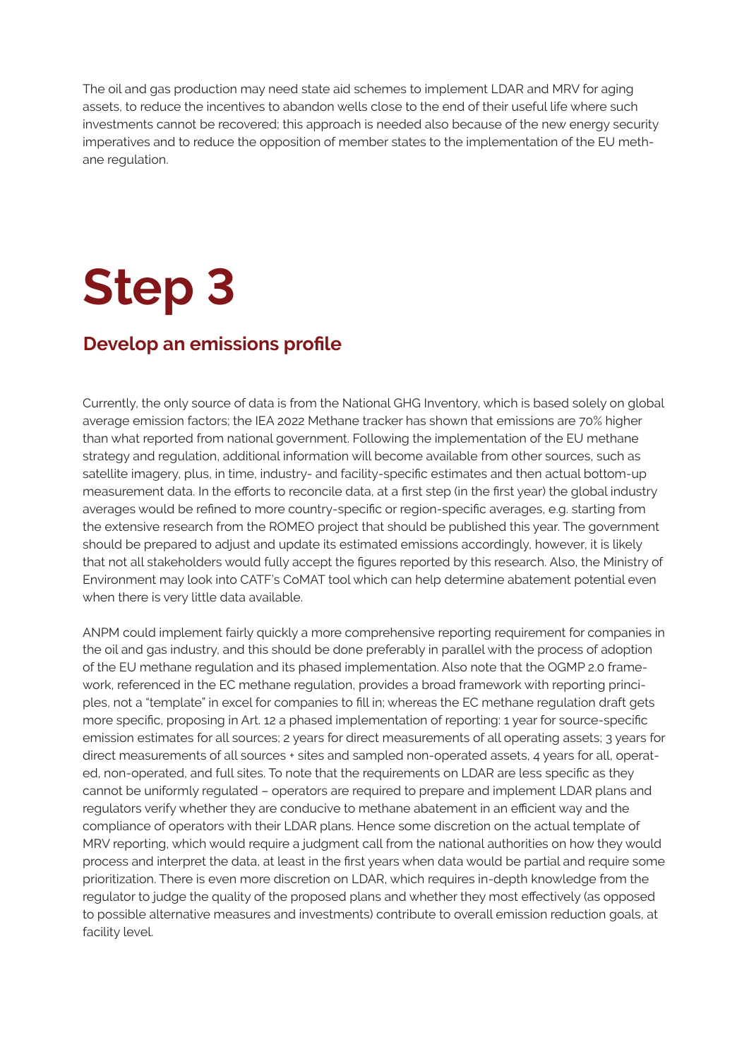The oil and gas production may need state aid schemes to implement LDAR and MRV for aging assets, to reduce the incentives to abandon wells close to the end of their useful life where such investments cannot be recovered; this approach is needed also because of the new energy security imperatives and to reduce the opposition of member states to the implementation of the EU methane regulation.

# **Step 3**

#### **Develop an emissions profile**

Currently, the only source of data is from the National GHG Inventory, which is based solely on global average emission factors; the IEA 2022 Methane tracker has shown that emissions are 70% higher than what reported from national government. Following the implementation of the EU methane strategy and regulation, additional information will become available from other sources, such as satellite imagery, plus, in time, industry- and facility-specific estimates and then actual bottom-up measurement data. In the efforts to reconcile data, at a first step (in the first year) the global industry averages would be refined to more country-specific or region-specific averages, e.g. starting from the extensive research from the ROMEO project that should be published this year. The government should be prepared to adjust and update its estimated emissions accordingly, however, it is likely that not all stakeholders would fully accept the figures reported by this research. Also, the Ministry of Environment may look into CATF's CoMAT tool which can help determine abatement potential even when there is very little data available.

ANPM could implement fairly quickly a more comprehensive reporting requirement for companies in the oil and gas industry, and this should be done preferably in parallel with the process of adoption of the EU methane regulation and its phased implementation. Also note that the OGMP 2.0 framework, referenced in the EC methane regulation, provides a broad framework with reporting principles, not a "template" in excel for companies to fill in; whereas the EC methane regulation draft gets more specific, proposing in Art. 12 a phased implementation of reporting: 1 year for source-specific emission estimates for all sources; 2 years for direct measurements of all operating assets; 3 years for direct measurements of all sources + sites and sampled non-operated assets, 4 years for all, operated, non-operated, and full sites. To note that the requirements on LDAR are less specific as they cannot be uniformly regulated – operators are required to prepare and implement LDAR plans and regulators verify whether they are conducive to methane abatement in an efficient way and the compliance of operators with their LDAR plans. Hence some discretion on the actual template of MRV reporting, which would require a judgment call from the national authorities on how they would process and interpret the data, at least in the first years when data would be partial and require some prioritization. There is even more discretion on LDAR, which requires in-depth knowledge from the regulator to judge the quality of the proposed plans and whether they most effectively (as opposed to possible alternative measures and investments) contribute to overall emission reduction goals, at facility level.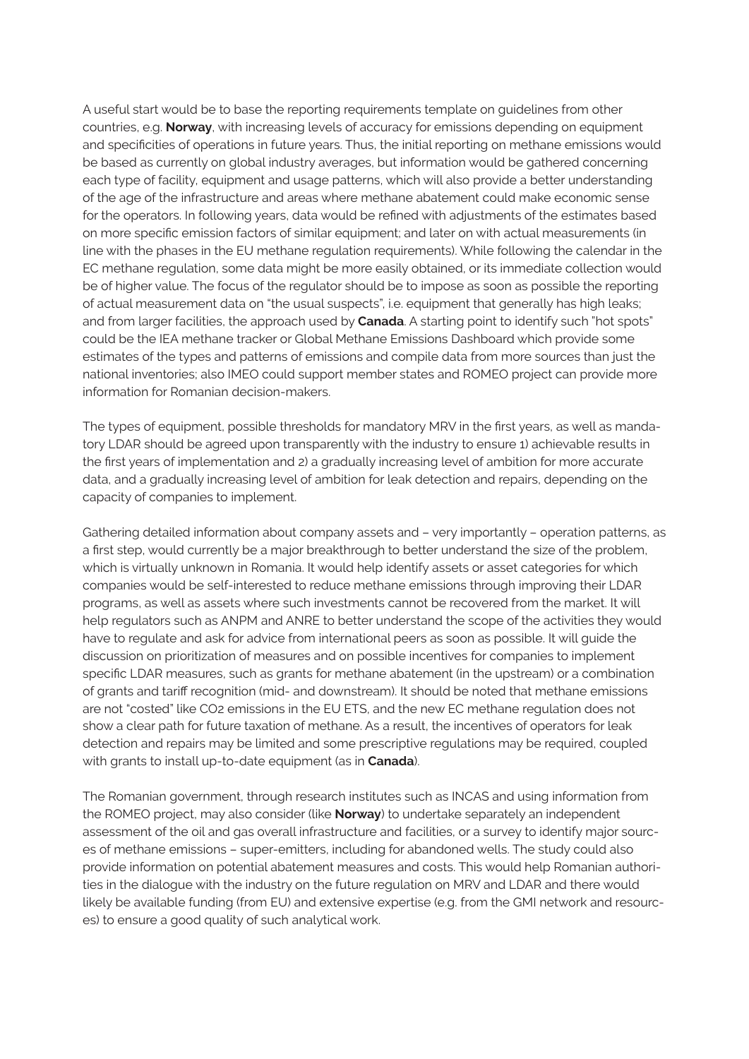A useful start would be to base the reporting requirements template on guidelines from other countries, e.g. **Norway**, with increasing levels of accuracy for emissions depending on equipment and specificities of operations in future years. Thus, the initial reporting on methane emissions would be based as currently on global industry averages, but information would be gathered concerning each type of facility, equipment and usage patterns, which will also provide a better understanding of the age of the infrastructure and areas where methane abatement could make economic sense for the operators. In following years, data would be refined with adjustments of the estimates based on more specific emission factors of similar equipment; and later on with actual measurements (in line with the phases in the EU methane regulation requirements). While following the calendar in the EC methane regulation, some data might be more easily obtained, or its immediate collection would be of higher value. The focus of the regulator should be to impose as soon as possible the reporting of actual measurement data on "the usual suspects", i.e. equipment that generally has high leaks; and from larger facilities, the approach used by **Canada**. A starting point to identify such "hot spots" could be the IEA methane tracker or Global Methane Emissions Dashboard which provide some estimates of the types and patterns of emissions and compile data from more sources than just the national inventories; also IMEO could support member states and ROMEO project can provide more information for Romanian decision-makers.

The types of equipment, possible thresholds for mandatory MRV in the first years, as well as mandatory LDAR should be agreed upon transparently with the industry to ensure 1) achievable results in the first years of implementation and 2) a gradually increasing level of ambition for more accurate data, and a gradually increasing level of ambition for leak detection and repairs, depending on the capacity of companies to implement.

Gathering detailed information about company assets and – very importantly – operation patterns, as a first step, would currently be a major breakthrough to better understand the size of the problem, which is virtually unknown in Romania. It would help identify assets or asset categories for which companies would be self-interested to reduce methane emissions through improving their LDAR programs, as well as assets where such investments cannot be recovered from the market. It will help regulators such as ANPM and ANRE to better understand the scope of the activities they would have to regulate and ask for advice from international peers as soon as possible. It will guide the discussion on prioritization of measures and on possible incentives for companies to implement specific LDAR measures, such as grants for methane abatement (in the upstream) or a combination of grants and tariff recognition (mid- and downstream). It should be noted that methane emissions are not "costed" like CO2 emissions in the EU ETS, and the new EC methane regulation does not show a clear path for future taxation of methane. As a result, the incentives of operators for leak detection and repairs may be limited and some prescriptive regulations may be required, coupled with grants to install up-to-date equipment (as in **Canada**).

The Romanian government, through research institutes such as INCAS and using information from the ROMEO project, may also consider (like **Norway**) to undertake separately an independent assessment of the oil and gas overall infrastructure and facilities, or a survey to identify major sources of methane emissions – super-emitters, including for abandoned wells. The study could also provide information on potential abatement measures and costs. This would help Romanian authorities in the dialogue with the industry on the future regulation on MRV and LDAR and there would likely be available funding (from EU) and extensive expertise (e.g. from the GMI network and resources) to ensure a good quality of such analytical work.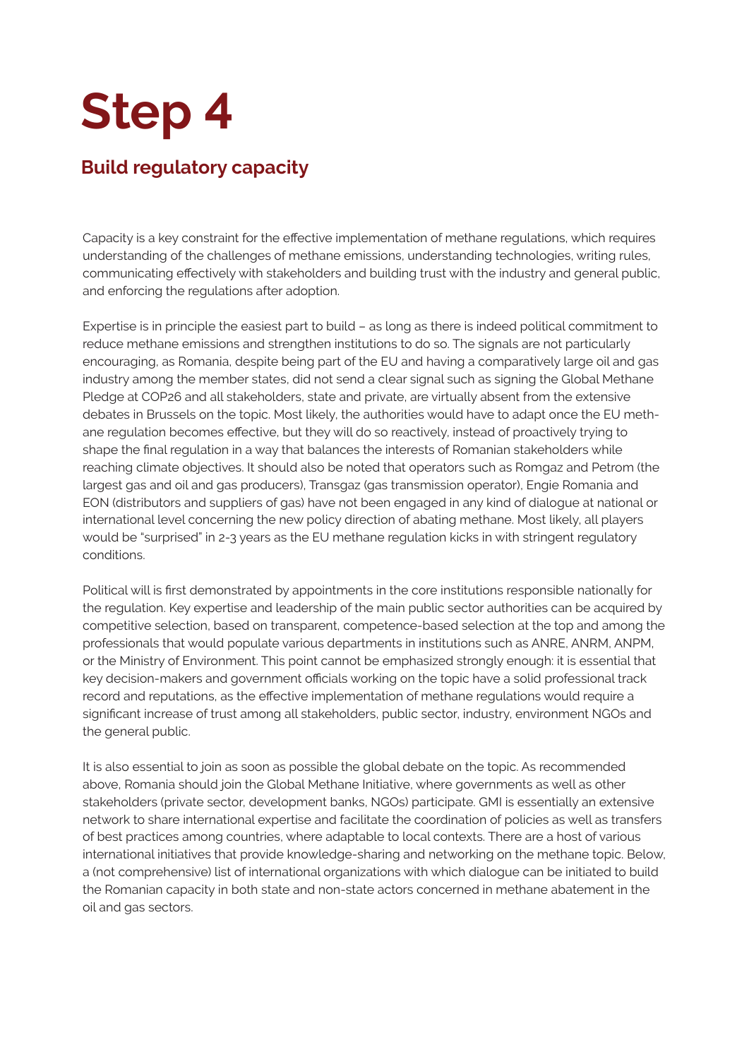#### **Build regulatory capacity**

Capacity is a key constraint for the effective implementation of methane regulations, which requires understanding of the challenges of methane emissions, understanding technologies, writing rules, communicating effectively with stakeholders and building trust with the industry and general public, and enforcing the regulations after adoption.

Expertise is in principle the easiest part to build – as long as there is indeed political commitment to reduce methane emissions and strengthen institutions to do so. The signals are not particularly encouraging, as Romania, despite being part of the EU and having a comparatively large oil and gas industry among the member states, did not send a clear signal such as signing the Global Methane Pledge at COP26 and all stakeholders, state and private, are virtually absent from the extensive debates in Brussels on the topic. Most likely, the authorities would have to adapt once the EU methane regulation becomes effective, but they will do so reactively, instead of proactively trying to shape the final regulation in a way that balances the interests of Romanian stakeholders while reaching climate objectives. It should also be noted that operators such as Romgaz and Petrom (the largest gas and oil and gas producers), Transgaz (gas transmission operator), Engie Romania and EON (distributors and suppliers of gas) have not been engaged in any kind of dialogue at national or international level concerning the new policy direction of abating methane. Most likely, all players would be "surprised" in 2-3 years as the EU methane regulation kicks in with stringent regulatory conditions.

Political will is first demonstrated by appointments in the core institutions responsible nationally for the regulation. Key expertise and leadership of the main public sector authorities can be acquired by competitive selection, based on transparent, competence-based selection at the top and among the professionals that would populate various departments in institutions such as ANRE, ANRM, ANPM, or the Ministry of Environment. This point cannot be emphasized strongly enough: it is essential that key decision-makers and government officials working on the topic have a solid professional track record and reputations, as the effective implementation of methane regulations would require a significant increase of trust among all stakeholders, public sector, industry, environment NGOs and the general public.

It is also essential to join as soon as possible the global debate on the topic. As recommended above, Romania should join the Global Methane Initiative, where governments as well as other stakeholders (private sector, development banks, NGOs) participate. GMI is essentially an extensive network to share international expertise and facilitate the coordination of policies as well as transfers of best practices among countries, where adaptable to local contexts. There are a host of various international initiatives that provide knowledge-sharing and networking on the methane topic. Below, a (not comprehensive) list of international organizations with which dialogue can be initiated to build the Romanian capacity in both state and non-state actors concerned in methane abatement in the oil and gas sectors.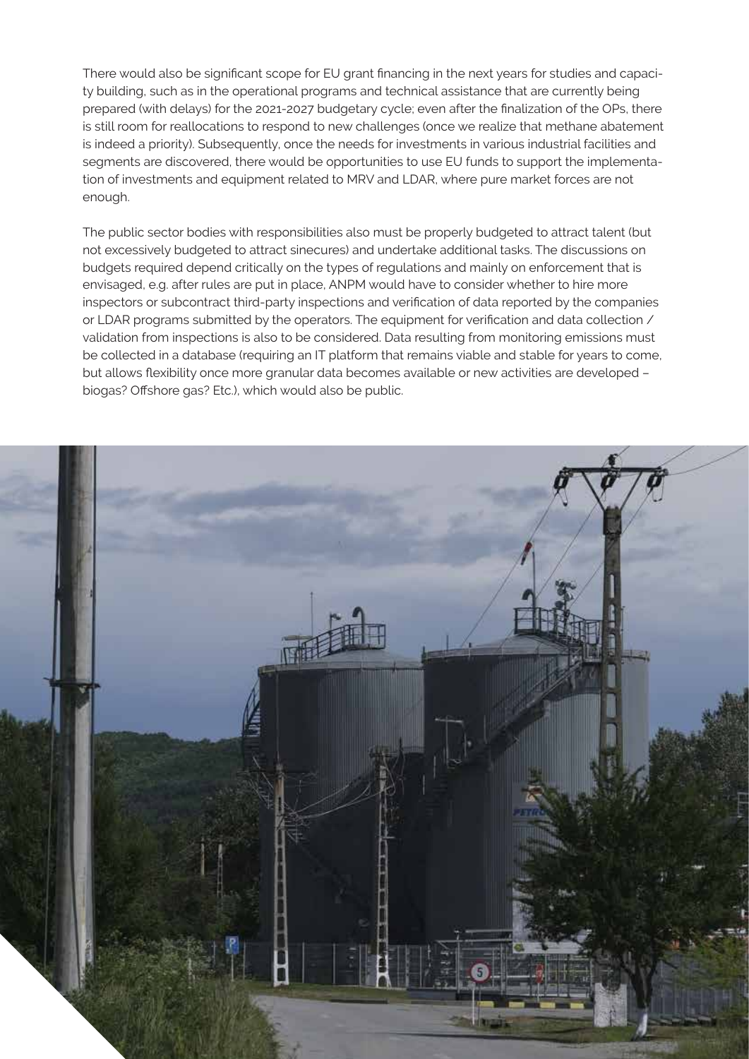There would also be significant scope for EU grant financing in the next years for studies and capacity building, such as in the operational programs and technical assistance that are currently being prepared (with delays) for the 2021-2027 budgetary cycle; even after the finalization of the OPs, there is still room for reallocations to respond to new challenges (once we realize that methane abatement is indeed a priority). Subsequently, once the needs for investments in various industrial facilities and segments are discovered, there would be opportunities to use EU funds to support the implementation of investments and equipment related to MRV and LDAR, where pure market forces are not enough.

The public sector bodies with responsibilities also must be properly budgeted to attract talent (but not excessively budgeted to attract sinecures) and undertake additional tasks. The discussions on budgets required depend critically on the types of regulations and mainly on enforcement that is envisaged, e.g. after rules are put in place, ANPM would have to consider whether to hire more inspectors or subcontract third-party inspections and verification of data reported by the companies or LDAR programs submitted by the operators. The equipment for verification and data collection / validation from inspections is also to be considered. Data resulting from monitoring emissions must be collected in a database (requiring an IT platform that remains viable and stable for years to come, but allows flexibility once more granular data becomes available or new activities are developed – biogas? Offshore gas? Etc.), which would also be public.

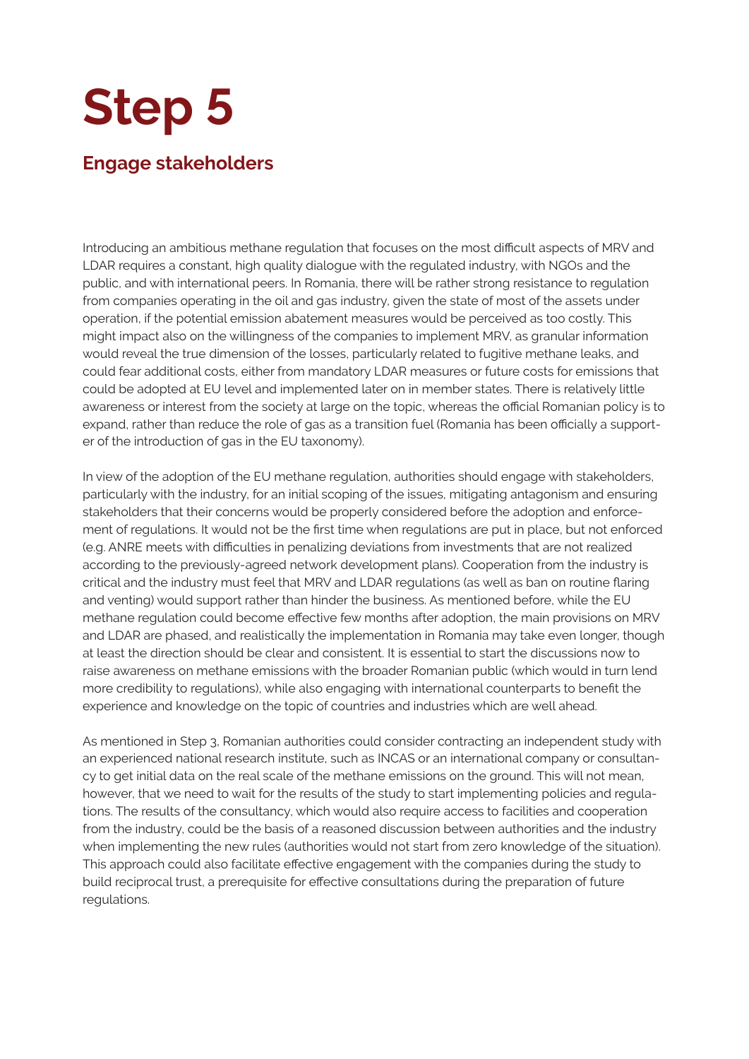#### **Engage stakeholders**

Introducing an ambitious methane regulation that focuses on the most difficult aspects of MRV and LDAR requires a constant, high quality dialogue with the regulated industry, with NGOs and the public, and with international peers. In Romania, there will be rather strong resistance to regulation from companies operating in the oil and gas industry, given the state of most of the assets under operation, if the potential emission abatement measures would be perceived as too costly. This might impact also on the willingness of the companies to implement MRV, as granular information would reveal the true dimension of the losses, particularly related to fugitive methane leaks, and could fear additional costs, either from mandatory LDAR measures or future costs for emissions that could be adopted at EU level and implemented later on in member states. There is relatively little awareness or interest from the society at large on the topic, whereas the official Romanian policy is to expand, rather than reduce the role of gas as a transition fuel (Romania has been officially a supporter of the introduction of gas in the EU taxonomy).

In view of the adoption of the EU methane regulation, authorities should engage with stakeholders, particularly with the industry, for an initial scoping of the issues, mitigating antagonism and ensuring stakeholders that their concerns would be properly considered before the adoption and enforcement of regulations. It would not be the first time when regulations are put in place, but not enforced (e.g. ANRE meets with difficulties in penalizing deviations from investments that are not realized according to the previously-agreed network development plans). Cooperation from the industry is critical and the industry must feel that MRV and LDAR regulations (as well as ban on routine flaring and venting) would support rather than hinder the business. As mentioned before, while the EU methane regulation could become effective few months after adoption, the main provisions on MRV and LDAR are phased, and realistically the implementation in Romania may take even longer, though at least the direction should be clear and consistent. It is essential to start the discussions now to raise awareness on methane emissions with the broader Romanian public (which would in turn lend more credibility to regulations), while also engaging with international counterparts to benefit the experience and knowledge on the topic of countries and industries which are well ahead.

As mentioned in Step 3, Romanian authorities could consider contracting an independent study with an experienced national research institute, such as INCAS or an international company or consultancy to get initial data on the real scale of the methane emissions on the ground. This will not mean, however, that we need to wait for the results of the study to start implementing policies and regulations. The results of the consultancy, which would also require access to facilities and cooperation from the industry, could be the basis of a reasoned discussion between authorities and the industry when implementing the new rules (authorities would not start from zero knowledge of the situation). This approach could also facilitate effective engagement with the companies during the study to build reciprocal trust, a prerequisite for effective consultations during the preparation of future regulations.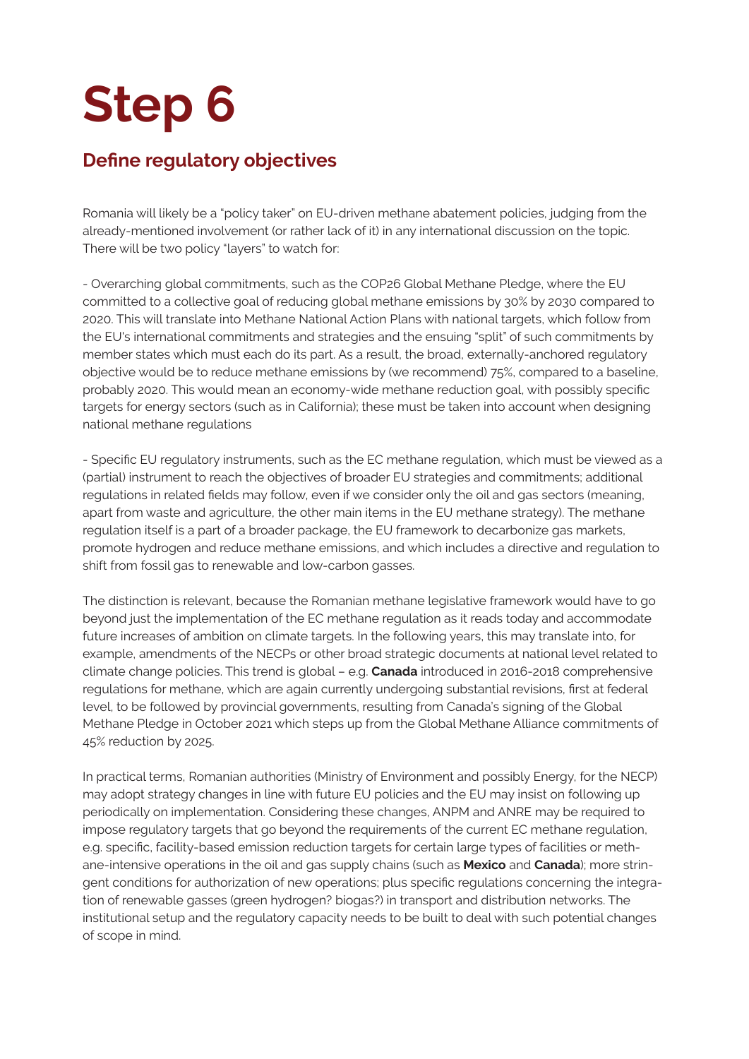#### **Define regulatory objectives**

Romania will likely be a "policy taker" on EU-driven methane abatement policies, judging from the already-mentioned involvement (or rather lack of it) in any international discussion on the topic. There will be two policy "layers" to watch for:

- Overarching global commitments, such as the COP26 Global Methane Pledge, where the EU committed to a collective goal of reducing global methane emissions by 30% by 2030 compared to 2020. This will translate into Methane National Action Plans with national targets, which follow from the EU's international commitments and strategies and the ensuing "split" of such commitments by member states which must each do its part. As a result, the broad, externally-anchored regulatory objective would be to reduce methane emissions by (we recommend) 75%, compared to a baseline, probably 2020. This would mean an economy-wide methane reduction goal, with possibly specific targets for energy sectors (such as in California); these must be taken into account when designing national methane regulations

- Specific EU regulatory instruments, such as the EC methane regulation, which must be viewed as a (partial) instrument to reach the objectives of broader EU strategies and commitments; additional regulations in related fields may follow, even if we consider only the oil and gas sectors (meaning, apart from waste and agriculture, the other main items in the EU methane strategy). The methane regulation itself is a part of a broader package, the EU framework to decarbonize gas markets, promote hydrogen and reduce methane emissions, and which includes a directive and regulation to shift from fossil gas to renewable and low-carbon gasses.

The distinction is relevant, because the Romanian methane legislative framework would have to go beyond just the implementation of the EC methane regulation as it reads today and accommodate future increases of ambition on climate targets. In the following years, this may translate into, for example, amendments of the NECPs or other broad strategic documents at national level related to climate change policies. This trend is global – e.g. **Canada** introduced in 2016-2018 comprehensive regulations for methane, which are again currently undergoing substantial revisions, first at federal level, to be followed by provincial governments, resulting from Canada's signing of the Global Methane Pledge in October 2021 which steps up from the Global Methane Alliance commitments of 45% reduction by 2025.

In practical terms, Romanian authorities (Ministry of Environment and possibly Energy, for the NECP) may adopt strategy changes in line with future EU policies and the EU may insist on following up periodically on implementation. Considering these changes, ANPM and ANRE may be required to impose regulatory targets that go beyond the requirements of the current EC methane regulation, e.g. specific, facility-based emission reduction targets for certain large types of facilities or methane-intensive operations in the oil and gas supply chains (such as **Mexico** and **Canada**); more stringent conditions for authorization of new operations; plus specific regulations concerning the integration of renewable gasses (green hydrogen? biogas?) in transport and distribution networks. The institutional setup and the regulatory capacity needs to be built to deal with such potential changes of scope in mind.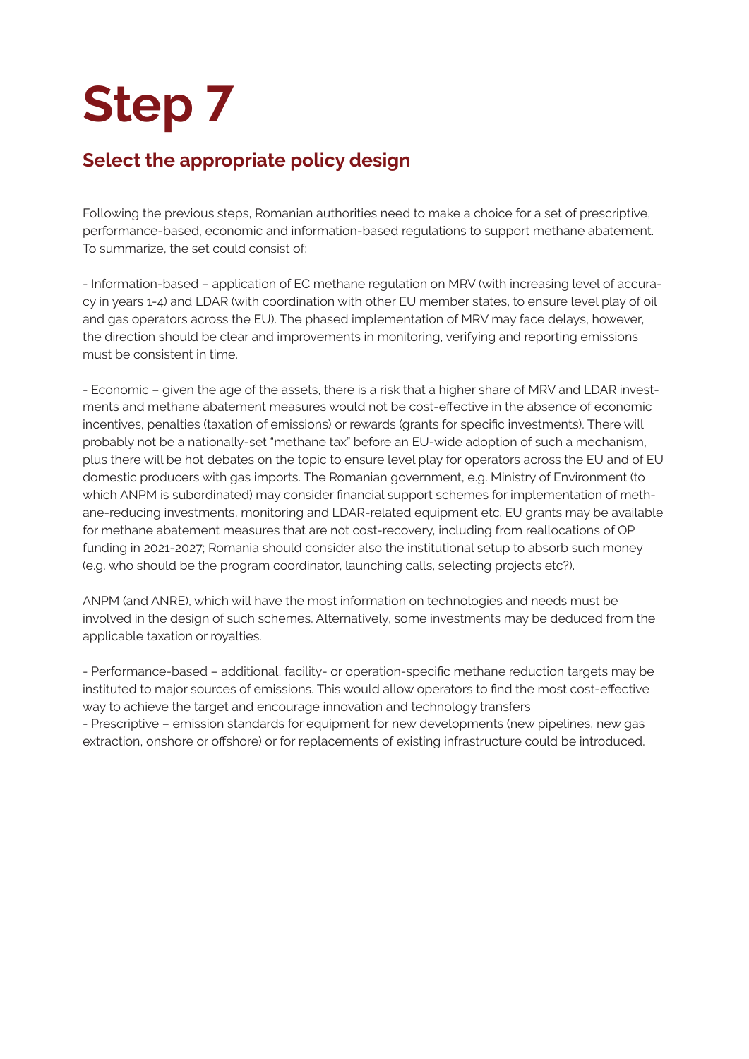#### **Select the appropriate policy design**

Following the previous steps, Romanian authorities need to make a choice for a set of prescriptive, performance-based, economic and information-based regulations to support methane abatement. To summarize, the set could consist of:

- Information-based – application of EC methane regulation on MRV (with increasing level of accuracy in years 1-4) and LDAR (with coordination with other EU member states, to ensure level play of oil and gas operators across the EU). The phased implementation of MRV may face delays, however, the direction should be clear and improvements in monitoring, verifying and reporting emissions must be consistent in time.

- Economic – given the age of the assets, there is a risk that a higher share of MRV and LDAR investments and methane abatement measures would not be cost-effective in the absence of economic incentives, penalties (taxation of emissions) or rewards (grants for specific investments). There will probably not be a nationally-set "methane tax" before an EU-wide adoption of such a mechanism, plus there will be hot debates on the topic to ensure level play for operators across the EU and of EU domestic producers with gas imports. The Romanian government, e.g. Ministry of Environment (to which ANPM is subordinated) may consider financial support schemes for implementation of methane-reducing investments, monitoring and LDAR-related equipment etc. EU grants may be available for methane abatement measures that are not cost-recovery, including from reallocations of OP funding in 2021-2027; Romania should consider also the institutional setup to absorb such money (e.g. who should be the program coordinator, launching calls, selecting projects etc?).

ANPM (and ANRE), which will have the most information on technologies and needs must be involved in the design of such schemes. Alternatively, some investments may be deduced from the applicable taxation or royalties.

- Performance-based – additional, facility- or operation-specific methane reduction targets may be instituted to major sources of emissions. This would allow operators to find the most cost-effective way to achieve the target and encourage innovation and technology transfers - Prescriptive – emission standards for equipment for new developments (new pipelines, new gas extraction, onshore or offshore) or for replacements of existing infrastructure could be introduced.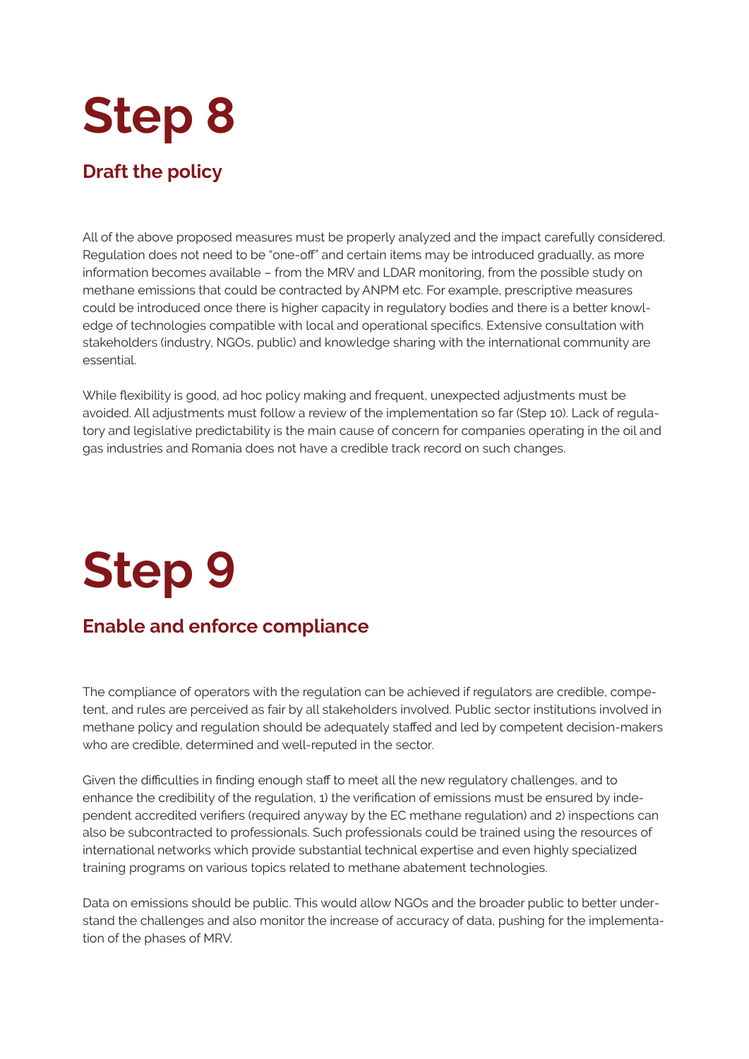#### **Draft the policy**

All of the above proposed measures must be properly analyzed and the impact carefully considered. Regulation does not need to be "one-off" and certain items may be introduced gradually, as more information becomes available – from the MRV and LDAR monitoring, from the possible study on methane emissions that could be contracted by ANPM etc. For example, prescriptive measures could be introduced once there is higher capacity in regulatory bodies and there is a better knowledge of technologies compatible with local and operational specifics. Extensive consultation with stakeholders (industry, NGOs, public) and knowledge sharing with the international community are essential.

While flexibility is good, ad hoc policy making and frequent, unexpected adjustments must be avoided. All adjustments must follow a review of the implementation so far (Step 10). Lack of regulatory and legislative predictability is the main cause of concern for companies operating in the oil and gas industries and Romania does not have a credible track record on such changes.

## **Step 9**

#### **Enable and enforce compliance**

The compliance of operators with the regulation can be achieved if regulators are credible, competent, and rules are perceived as fair by all stakeholders involved. Public sector institutions involved in methane policy and regulation should be adequately staffed and led by competent decision-makers who are credible, determined and well-reputed in the sector.

Given the difficulties in finding enough staff to meet all the new regulatory challenges, and to enhance the credibility of the regulation, 1) the verification of emissions must be ensured by independent accredited verifiers (required anyway by the EC methane regulation) and 2) inspections can also be subcontracted to professionals. Such professionals could be trained using the resources of international networks which provide substantial technical expertise and even highly specialized training programs on various topics related to methane abatement technologies.

Data on emissions should be public. This would allow NGOs and the broader public to better understand the challenges and also monitor the increase of accuracy of data, pushing for the implementation of the phases of MRV.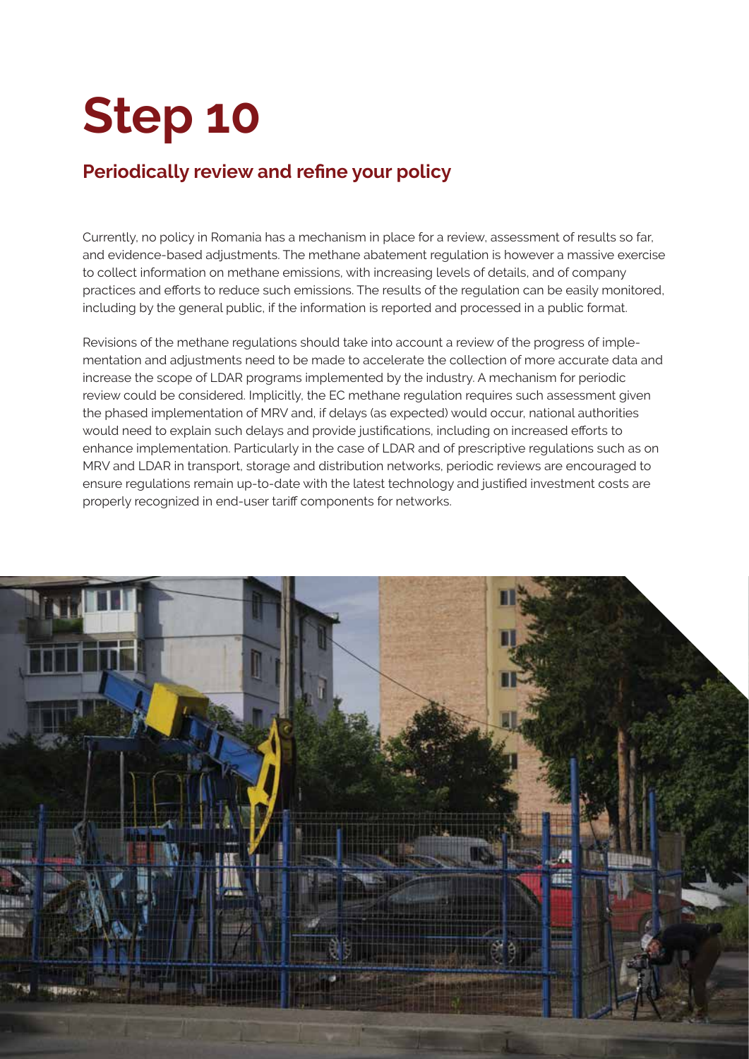#### **Periodically review and refine your policy**

Currently, no policy in Romania has a mechanism in place for a review, assessment of results so far, and evidence-based adjustments. The methane abatement regulation is however a massive exercise to collect information on methane emissions, with increasing levels of details, and of company practices and efforts to reduce such emissions. The results of the regulation can be easily monitored, including by the general public, if the information is reported and processed in a public format.

Revisions of the methane regulations should take into account a review of the progress of implementation and adjustments need to be made to accelerate the collection of more accurate data and increase the scope of LDAR programs implemented by the industry. A mechanism for periodic review could be considered. Implicitly, the EC methane regulation requires such assessment given the phased implementation of MRV and, if delays (as expected) would occur, national authorities would need to explain such delays and provide justifications, including on increased efforts to enhance implementation. Particularly in the case of LDAR and of prescriptive regulations such as on MRV and LDAR in transport, storage and distribution networks, periodic reviews are encouraged to ensure regulations remain up-to-date with the latest technology and justified investment costs are properly recognized in end-user tariff components for networks.

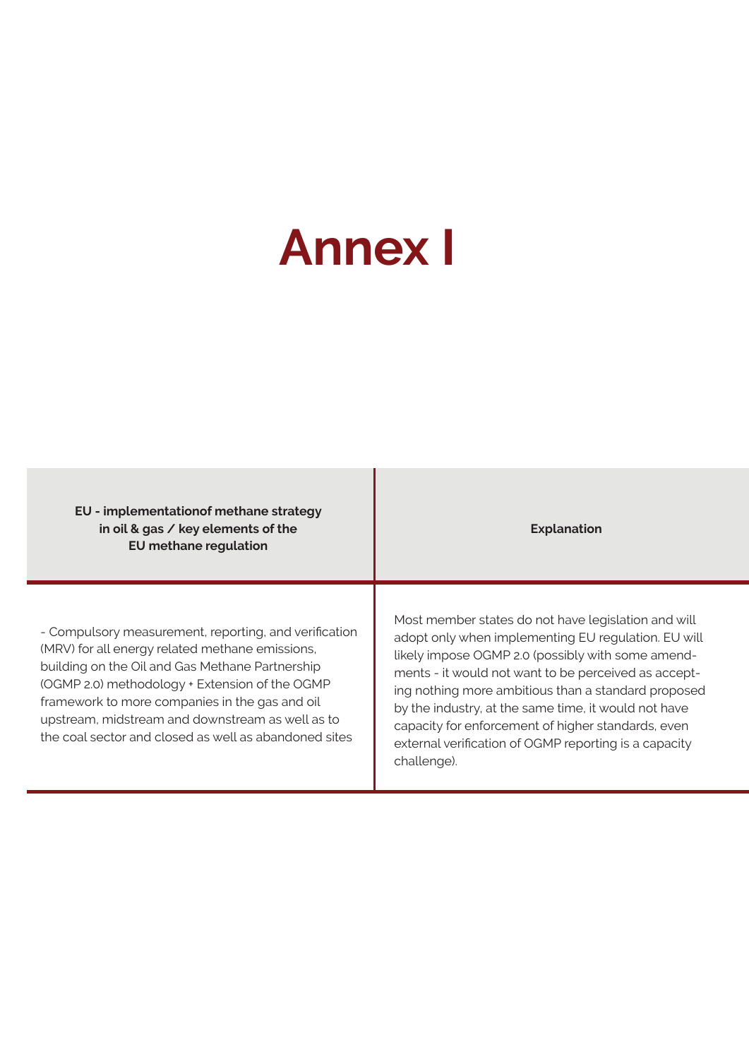## **Annex I**

**EU - implementationof methane strategy in oil & gas / key elements of the EU methane regulation**

**Explanation**

- Compulsory measurement, reporting, and verification (MRV) for all energy related methane emissions, building on the Oil and Gas Methane Partnership (OGMP 2.0) methodology + Extension of the OGMP framework to more companies in the gas and oil upstream, midstream and downstream as well as to the coal sector and closed as well as abandoned sites

Most member states do not have legislation and will adopt only when implementing EU regulation. EU will likely impose OGMP 2.0 (possibly with some amendments - it would not want to be perceived as accepting nothing more ambitious than a standard proposed by the industry, at the same time, it would not have capacity for enforcement of higher standards, even external verification of OGMP reporting is a capacity challenge).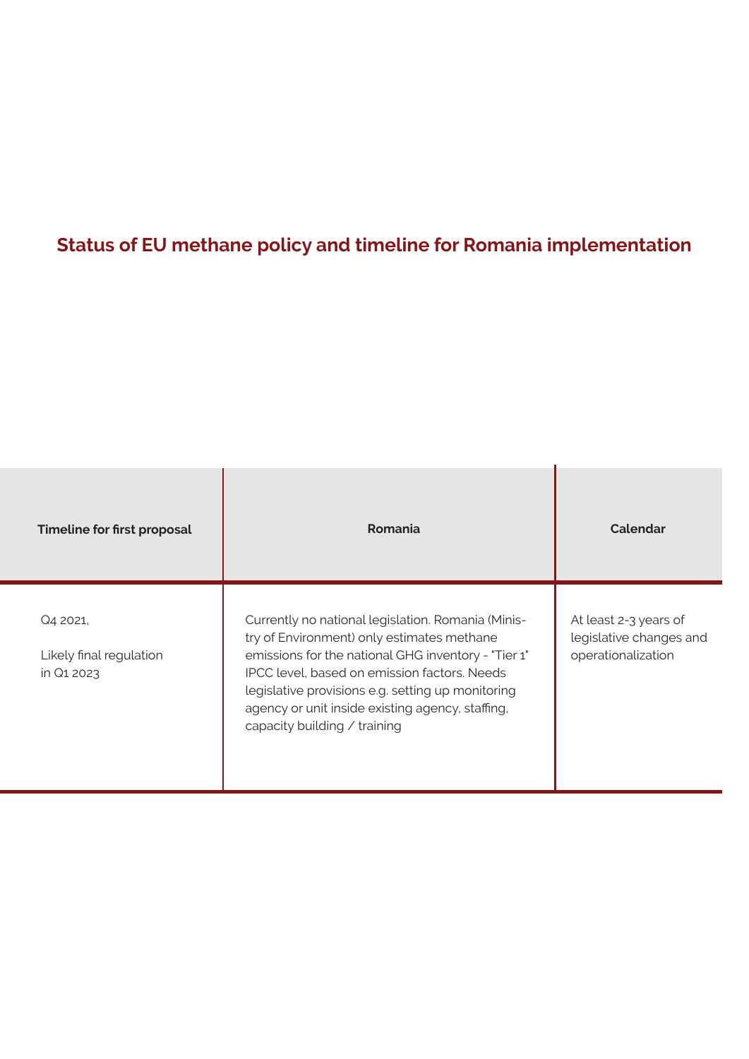### **Status of EU methane policy and timeline for Romania implementation**

| Timeline for first proposal                       | Romania                                                                                                                                                                                                                                                                                                                                                 | Calendar                                                               |
|---------------------------------------------------|---------------------------------------------------------------------------------------------------------------------------------------------------------------------------------------------------------------------------------------------------------------------------------------------------------------------------------------------------------|------------------------------------------------------------------------|
| Q4 2021,<br>Likely final regulation<br>in Q1 2023 | Currently no national legislation. Romania (Minis-<br>try of Environment) only estimates methane<br>emissions for the national GHG inventory - "Tier 1"<br>IPCC level, based on emission factors. Needs<br>legislative provisions e.g. setting up monitoring<br>agency or unit inside existing agency, staffing,<br>capacity building $\prime$ training | At least 2-3 years of<br>legislative changes and<br>operationalization |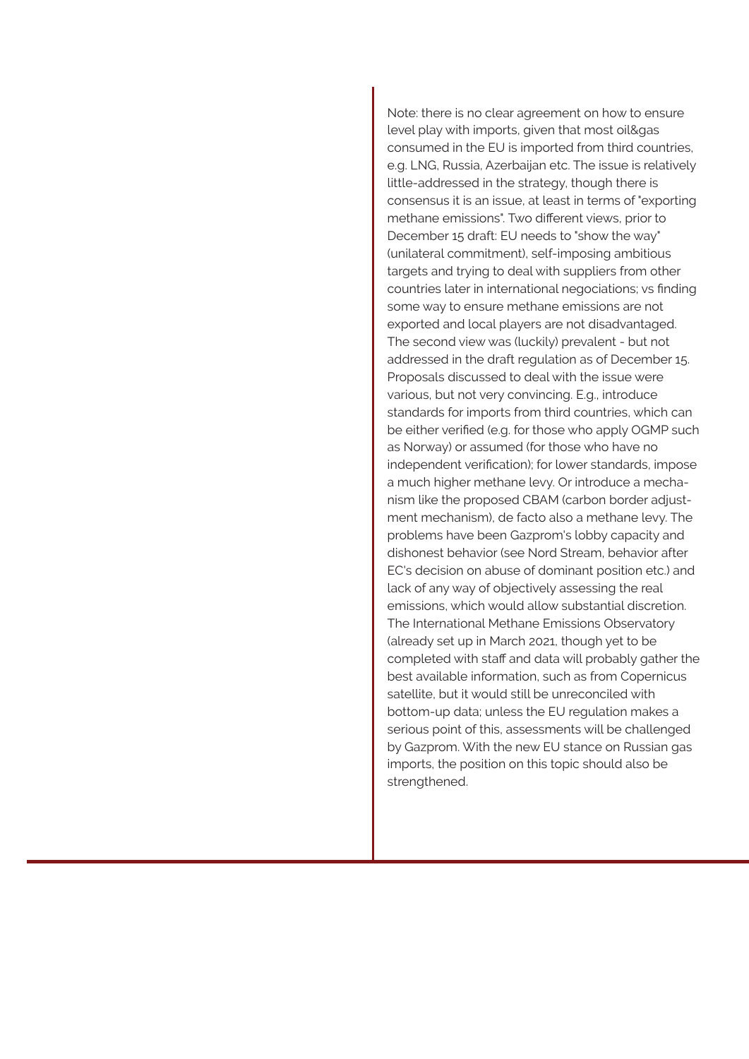Note: there is no clear agreement on how to ensure level play with imports, given that most oil&gas consumed in the EU is imported from third countries, e.g. LNG, Russia, Azerbaijan etc. The issue is relatively little-addressed in the strategy, though there is consensus it is an issue, at least in terms of "exporting methane emissions". Two different views, prior to December 15 draft: EU needs to "show the way" (unilateral commitment), self-imposing ambitious targets and trying to deal with suppliers from other countries later in international negociations; vs finding some way to ensure methane emissions are not exported and local players are not disadvantaged. The second view was (luckily) prevalent - but not addressed in the draft regulation as of December 15. Proposals discussed to deal with the issue were various, but not very convincing. E.g., introduce standards for imports from third countries, which can be either verified (e.g. for those who apply OGMP such as Norway) or assumed (for those who have no independent verification); for lower standards, impose a much higher methane levy. Or introduce a mechanism like the proposed CBAM (carbon border adjustment mechanism), de facto also a methane levy. The problems have been Gazprom's lobby capacity and dishonest behavior (see Nord Stream, behavior after EC's decision on abuse of dominant position etc.) and lack of any way of objectively assessing the real emissions, which would allow substantial discretion. The International Methane Emissions Observatory (already set up in March 2021, though yet to be completed with staff and data will probably gather the best available information, such as from Copernicus satellite, but it would still be unreconciled with bottom-up data; unless the EU regulation makes a serious point of this, assessments will be challenged by Gazprom. With the new EU stance on Russian gas imports, the position on this topic should also be strengthened.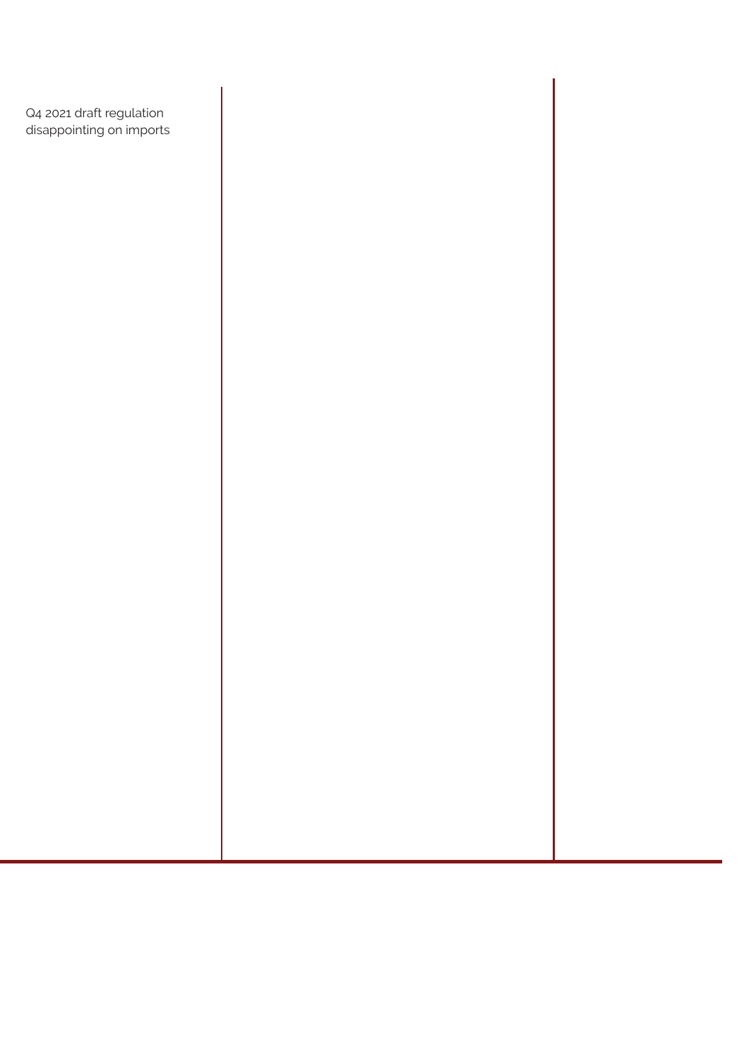Q4 2021 draft regulation disappointing on imports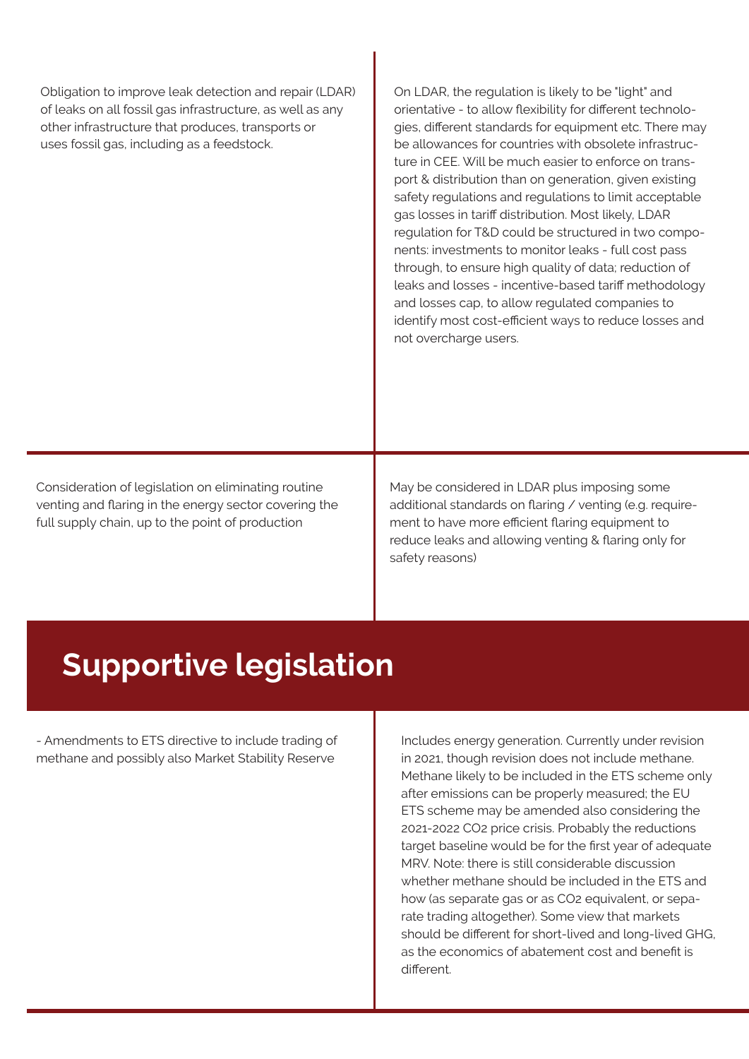Obligation to improve leak detection and repair (LDAR) of leaks on all fossil gas infrastructure, as well as any other infrastructure that produces, transports or uses fossil gas, including as a feedstock.

On LDAR, the regulation is likely to be "light" and orientative - to allow flexibility for different technologies, different standards for equipment etc. There may be allowances for countries with obsolete infrastructure in CEE. Will be much easier to enforce on transport & distribution than on generation, given existing safety regulations and regulations to limit acceptable gas losses in tariff distribution. Most likely, LDAR regulation for T&D could be structured in two components: investments to monitor leaks - full cost pass through, to ensure high quality of data; reduction of leaks and losses - incentive-based tariff methodology and losses cap, to allow regulated companies to identify most cost-efficient ways to reduce losses and not overcharge users.

Consideration of legislation on eliminating routine venting and flaring in the energy sector covering the full supply chain, up to the point of production

May be considered in LDAR plus imposing some additional standards on flaring / venting (e.g. requirement to have more efficient flaring equipment to reduce leaks and allowing venting & flaring only for safety reasons)

### **Supportive legislation**

- Amendments to ETS directive to include trading of methane and possibly also Market Stability Reserve

Includes energy generation. Currently under revision in 2021, though revision does not include methane. Methane likely to be included in the ETS scheme only after emissions can be properly measured; the EU ETS scheme may be amended also considering the 2021-2022 CO2 price crisis. Probably the reductions target baseline would be for the first year of adequate MRV. Note: there is still considerable discussion whether methane should be included in the ETS and how (as separate gas or as CO2 equivalent, or separate trading altogether). Some view that markets should be different for short-lived and long-lived GHG, as the economics of abatement cost and benefit is different.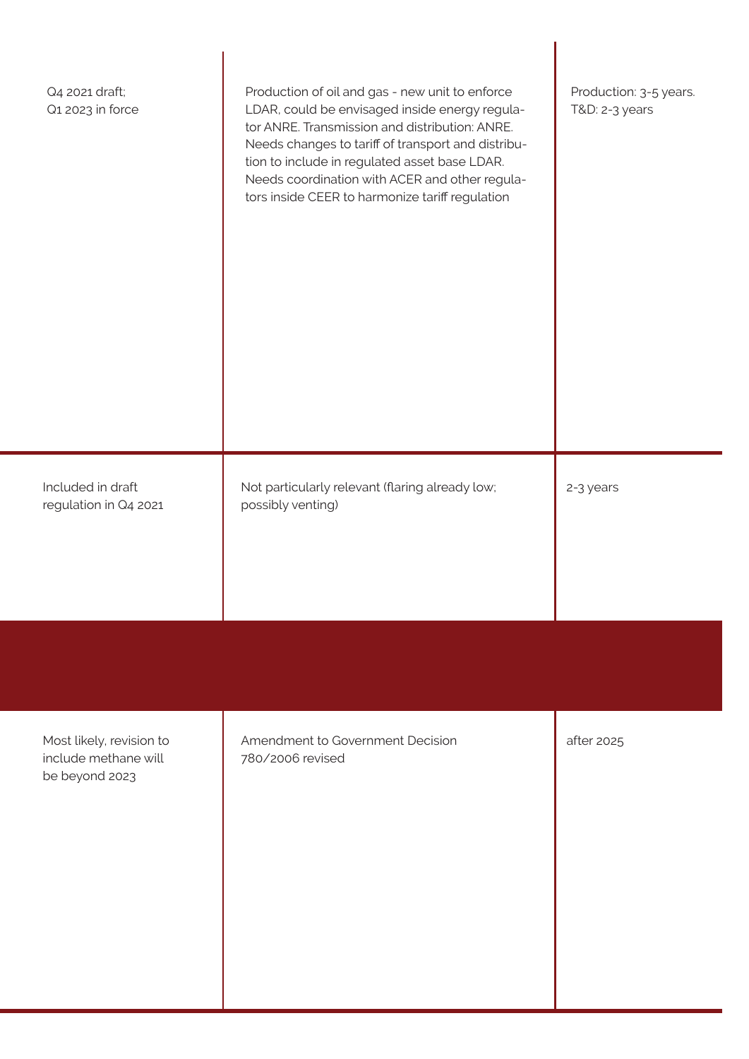| Q4 2021 draft;<br>Q1 2023 in force                                 | Production of oil and gas - new unit to enforce<br>LDAR, could be envisaged inside energy regula-<br>tor ANRE. Transmission and distribution: ANRE.<br>Needs changes to tariff of transport and distribu-<br>tion to include in regulated asset base LDAR.<br>Needs coordination with ACER and other regula-<br>tors inside CEER to harmonize tariff regulation | Production: 3-5 years.<br>T&D: 2-3 years |
|--------------------------------------------------------------------|-----------------------------------------------------------------------------------------------------------------------------------------------------------------------------------------------------------------------------------------------------------------------------------------------------------------------------------------------------------------|------------------------------------------|
| Included in draft<br>regulation in Q4 2021                         | Not particularly relevant (flaring already low;<br>possibly venting)                                                                                                                                                                                                                                                                                            | 2-3 years                                |
|                                                                    |                                                                                                                                                                                                                                                                                                                                                                 |                                          |
| Most likely, revision to<br>include methane will<br>be beyond 2023 | Amendment to Government Decision<br>780/2006 revised                                                                                                                                                                                                                                                                                                            | after 2025                               |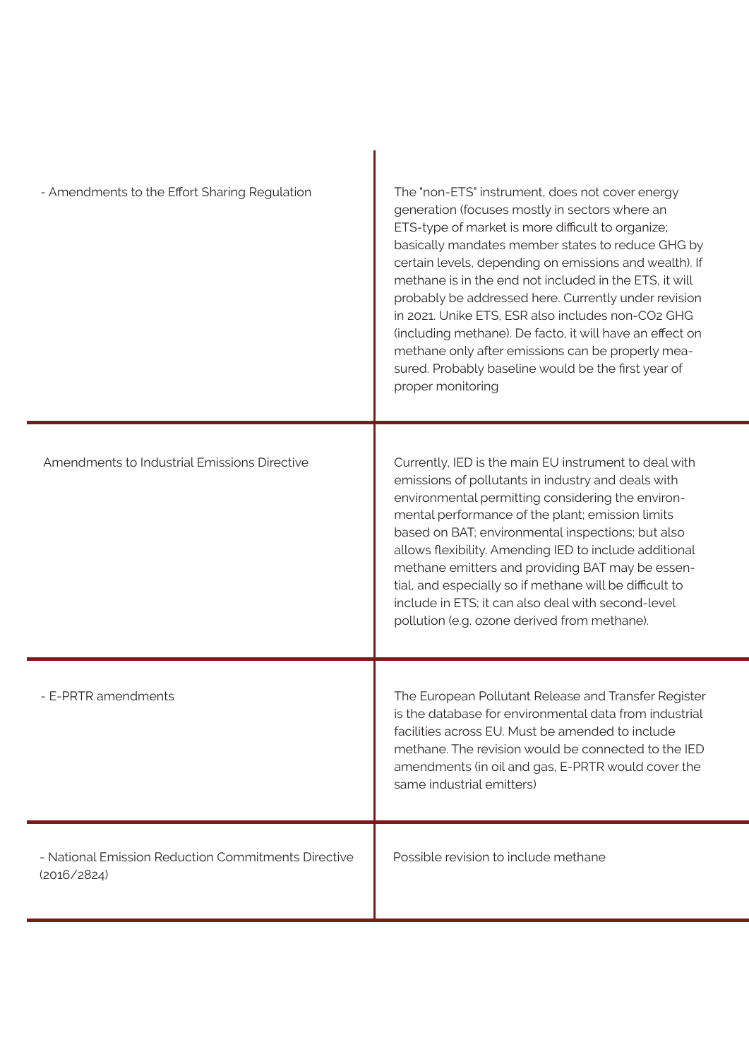| - Amendments to the Effort Sharing Regulation                      | The "non-ETS" instrument, does not cover energy<br>generation (focuses mostly in sectors where an<br>ETS-type of market is more difficult to organize;<br>basically mandates member states to reduce GHG by<br>certain levels, depending on emissions and wealth). If<br>methane is in the end not included in the ETS, it will<br>probably be addressed here. Currently under revision<br>in 2021. Unike ETS, ESR also includes non-CO2 GHG<br>(including methane). De facto, it will have an effect on<br>methane only after emissions can be properly mea-<br>sured. Probably baseline would be the first year of<br>proper monitoring |
|--------------------------------------------------------------------|-------------------------------------------------------------------------------------------------------------------------------------------------------------------------------------------------------------------------------------------------------------------------------------------------------------------------------------------------------------------------------------------------------------------------------------------------------------------------------------------------------------------------------------------------------------------------------------------------------------------------------------------|
| Amendments to Industrial Emissions Directive                       | Currently, IED is the main EU instrument to deal with<br>emissions of pollutants in industry and deals with<br>environmental permitting considering the environ-<br>mental performance of the plant; emission limits<br>based on BAT; environmental inspections; but also<br>allows flexibility. Amending IED to include additional<br>methane emitters and providing BAT may be essen-<br>tial, and especially so if methane will be difficult to<br>include in ETS; it can also deal with second-level<br>pollution (e.g. ozone derived from methane).                                                                                  |
| - E-PRTR amendments                                                | The European Pollutant Release and Transfer Register<br>is the database for environmental data from industrial<br>facilities across EU. Must be amended to include<br>methane. The revision would be connected to the IED<br>amendments (in oil and gas, E-PRTR would cover the<br>same industrial emitters)                                                                                                                                                                                                                                                                                                                              |
| - National Emission Reduction Commitments Directive<br>(2016/2824) | Possible revision to include methane                                                                                                                                                                                                                                                                                                                                                                                                                                                                                                                                                                                                      |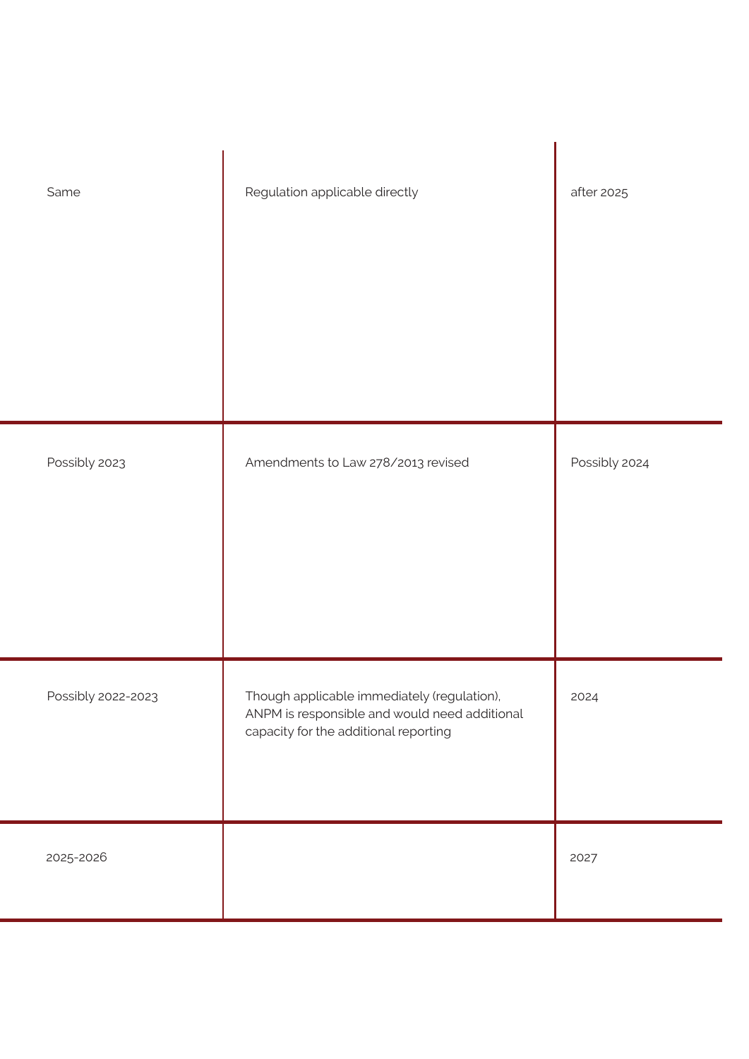| Same               | Regulation applicable directly                                                                                                        | after 2025    |
|--------------------|---------------------------------------------------------------------------------------------------------------------------------------|---------------|
| Possibly 2023      | Amendments to Law 278/2013 revised                                                                                                    | Possibly 2024 |
| Possibly 2022-2023 | Though applicable immediately (regulation),<br>ANPM is responsible and would need additional<br>capacity for the additional reporting | 2024          |
| 2025-2026          |                                                                                                                                       | 2027          |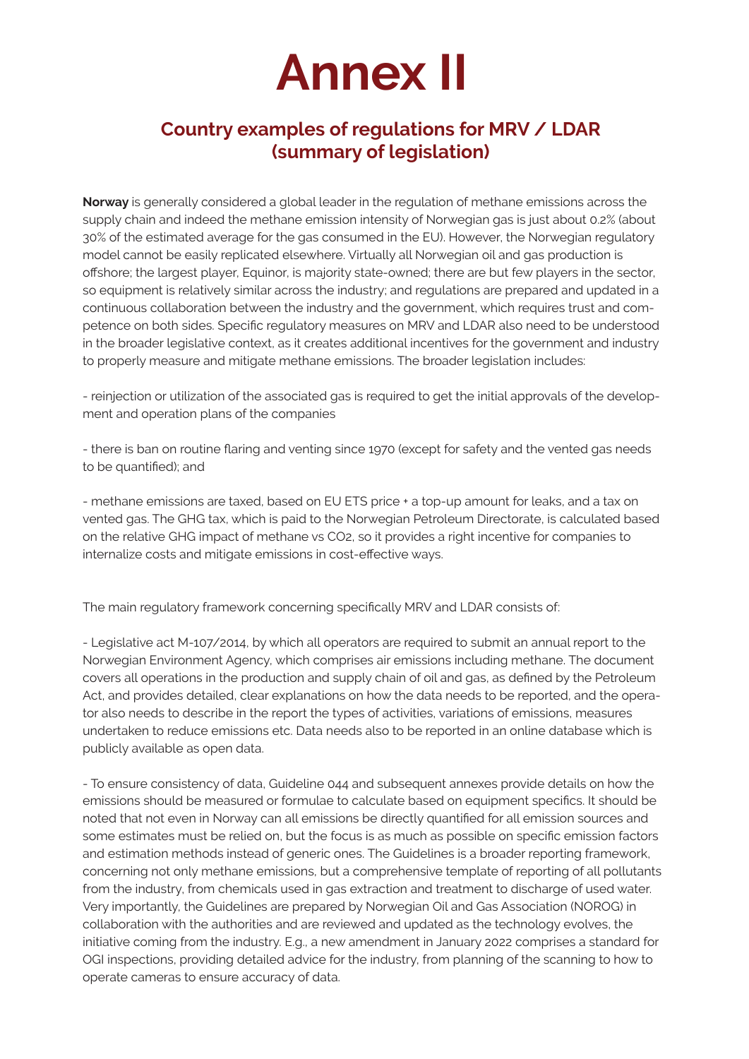## **Annex II**

#### **Country examples of regulations for MRV / LDAR (summary of legislation)**

**Norway** is generally considered a global leader in the regulation of methane emissions across the supply chain and indeed the methane emission intensity of Norwegian gas is just about 0.2% (about 30% of the estimated average for the gas consumed in the EU). However, the Norwegian regulatory model cannot be easily replicated elsewhere. Virtually all Norwegian oil and gas production is offshore; the largest player, Equinor, is majority state-owned; there are but few players in the sector, so equipment is relatively similar across the industry; and regulations are prepared and updated in a continuous collaboration between the industry and the government, which requires trust and competence on both sides. Specific regulatory measures on MRV and LDAR also need to be understood in the broader legislative context, as it creates additional incentives for the government and industry to properly measure and mitigate methane emissions. The broader legislation includes:

- reinjection or utilization of the associated gas is required to get the initial approvals of the development and operation plans of the companies

- there is ban on routine flaring and venting since 1970 (except for safety and the vented gas needs to be quantified); and

- methane emissions are taxed, based on EU ETS price + a top-up amount for leaks, and a tax on vented gas. The GHG tax, which is paid to the Norwegian Petroleum Directorate, is calculated based on the relative GHG impact of methane vs CO2, so it provides a right incentive for companies to internalize costs and mitigate emissions in cost-effective ways.

The main regulatory framework concerning specifically MRV and LDAR consists of:

- Legislative act M-107/2014, by which all operators are required to submit an annual report to the Norwegian Environment Agency, which comprises air emissions including methane. The document covers all operations in the production and supply chain of oil and gas, as defined by the Petroleum Act, and provides detailed, clear explanations on how the data needs to be reported, and the operator also needs to describe in the report the types of activities, variations of emissions, measures undertaken to reduce emissions etc. Data needs also to be reported in an online database which is publicly available as open data.

- To ensure consistency of data, Guideline 044 and subsequent annexes provide details on how the emissions should be measured or formulae to calculate based on equipment specifics. It should be noted that not even in Norway can all emissions be directly quantified for all emission sources and some estimates must be relied on, but the focus is as much as possible on specific emission factors and estimation methods instead of generic ones. The Guidelines is a broader reporting framework, concerning not only methane emissions, but a comprehensive template of reporting of all pollutants from the industry, from chemicals used in gas extraction and treatment to discharge of used water. Very importantly, the Guidelines are prepared by Norwegian Oil and Gas Association (NOROG) in collaboration with the authorities and are reviewed and updated as the technology evolves, the initiative coming from the industry. E.g., a new amendment in January 2022 comprises a standard for OGI inspections, providing detailed advice for the industry, from planning of the scanning to how to operate cameras to ensure accuracy of data.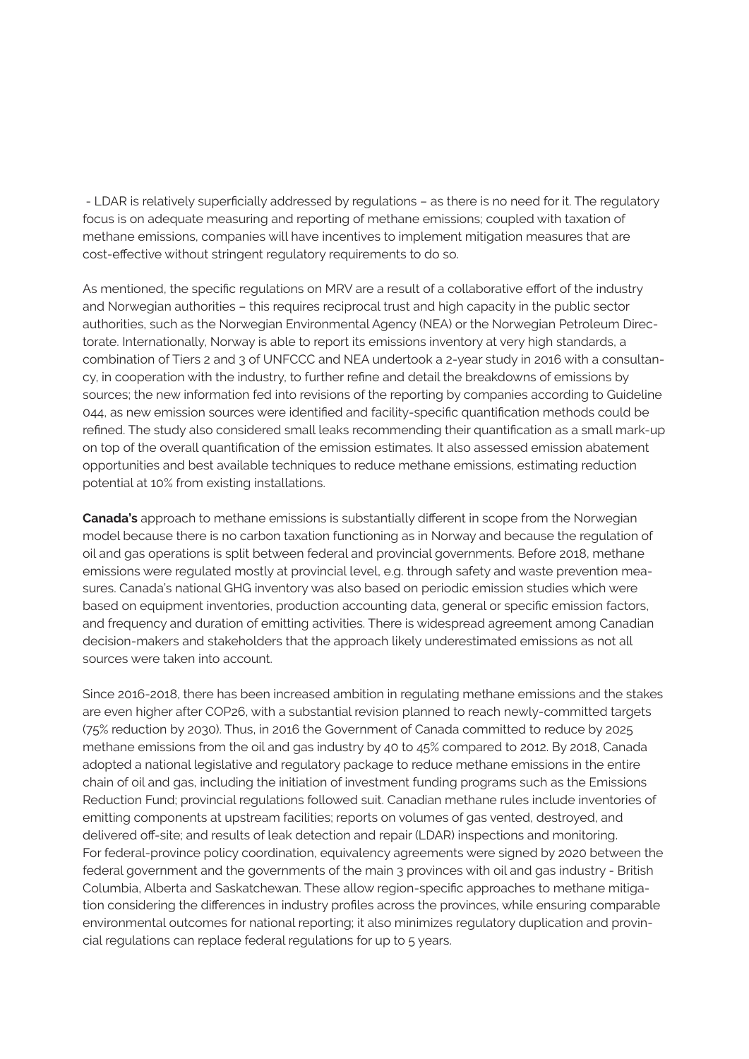- LDAR is relatively superficially addressed by regulations – as there is no need for it. The regulatory focus is on adequate measuring and reporting of methane emissions; coupled with taxation of methane emissions, companies will have incentives to implement mitigation measures that are cost-effective without stringent regulatory requirements to do so.

As mentioned, the specific regulations on MRV are a result of a collaborative effort of the industry and Norwegian authorities – this requires reciprocal trust and high capacity in the public sector authorities, such as the Norwegian Environmental Agency (NEA) or the Norwegian Petroleum Directorate. Internationally, Norway is able to report its emissions inventory at very high standards, a combination of Tiers 2 and 3 of UNFCCC and NEA undertook a 2-year study in 2016 with a consultancy, in cooperation with the industry, to further refine and detail the breakdowns of emissions by sources; the new information fed into revisions of the reporting by companies according to Guideline 044, as new emission sources were identified and facility-specific quantification methods could be refined. The study also considered small leaks recommending their quantification as a small mark-up on top of the overall quantification of the emission estimates. It also assessed emission abatement opportunities and best available techniques to reduce methane emissions, estimating reduction potential at 10% from existing installations.

**Canada's** approach to methane emissions is substantially different in scope from the Norwegian model because there is no carbon taxation functioning as in Norway and because the regulation of oil and gas operations is split between federal and provincial governments. Before 2018, methane emissions were regulated mostly at provincial level, e.g. through safety and waste prevention measures. Canada's national GHG inventory was also based on periodic emission studies which were based on equipment inventories, production accounting data, general or specific emission factors, and frequency and duration of emitting activities. There is widespread agreement among Canadian decision-makers and stakeholders that the approach likely underestimated emissions as not all sources were taken into account.

Since 2016-2018, there has been increased ambition in regulating methane emissions and the stakes are even higher after COP26, with a substantial revision planned to reach newly-committed targets (75% reduction by 2030). Thus, in 2016 the Government of Canada committed to reduce by 2025 methane emissions from the oil and gas industry by 40 to 45% compared to 2012. By 2018, Canada adopted a national legislative and regulatory package to reduce methane emissions in the entire chain of oil and gas, including the initiation of investment funding programs such as the Emissions Reduction Fund; provincial regulations followed suit. Canadian methane rules include inventories of emitting components at upstream facilities; reports on volumes of gas vented, destroyed, and delivered off-site; and results of leak detection and repair (LDAR) inspections and monitoring. For federal-province policy coordination, equivalency agreements were signed by 2020 between the federal government and the governments of the main 3 provinces with oil and gas industry - British Columbia, Alberta and Saskatchewan. These allow region-specific approaches to methane mitigation considering the differences in industry profiles across the provinces, while ensuring comparable environmental outcomes for national reporting; it also minimizes regulatory duplication and provincial regulations can replace federal regulations for up to 5 years.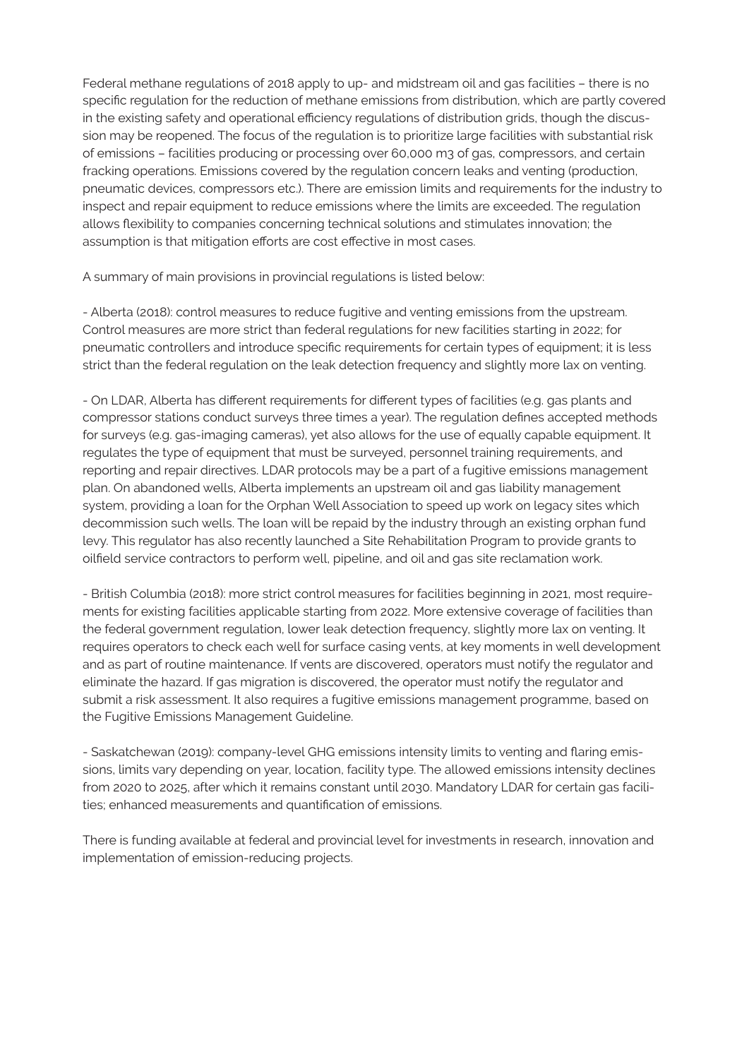Federal methane regulations of 2018 apply to up- and midstream oil and gas facilities – there is no specific regulation for the reduction of methane emissions from distribution, which are partly covered in the existing safety and operational efficiency regulations of distribution grids, though the discussion may be reopened. The focus of the regulation is to prioritize large facilities with substantial risk of emissions – facilities producing or processing over 60,000 m3 of gas, compressors, and certain fracking operations. Emissions covered by the regulation concern leaks and venting (production, pneumatic devices, compressors etc.). There are emission limits and requirements for the industry to inspect and repair equipment to reduce emissions where the limits are exceeded. The regulation allows flexibility to companies concerning technical solutions and stimulates innovation; the assumption is that mitigation efforts are cost effective in most cases.

A summary of main provisions in provincial regulations is listed below:

- Alberta (2018): control measures to reduce fugitive and venting emissions from the upstream. Control measures are more strict than federal regulations for new facilities starting in 2022; for pneumatic controllers and introduce specific requirements for certain types of equipment; it is less strict than the federal regulation on the leak detection frequency and slightly more lax on venting.

- On LDAR, Alberta has different requirements for different types of facilities (e.g. gas plants and compressor stations conduct surveys three times a year). The regulation defines accepted methods for surveys (e.g. gas-imaging cameras), yet also allows for the use of equally capable equipment. It regulates the type of equipment that must be surveyed, personnel training requirements, and reporting and repair directives. LDAR protocols may be a part of a fugitive emissions management plan. On abandoned wells, Alberta implements an upstream oil and gas liability management system, providing a loan for the Orphan Well Association to speed up work on legacy sites which decommission such wells. The loan will be repaid by the industry through an existing orphan fund levy. This regulator has also recently launched a Site Rehabilitation Program to provide grants to oilfield service contractors to perform well, pipeline, and oil and gas site reclamation work.

- British Columbia (2018): more strict control measures for facilities beginning in 2021, most requirements for existing facilities applicable starting from 2022. More extensive coverage of facilities than the federal government regulation, lower leak detection frequency, slightly more lax on venting. It requires operators to check each well for surface casing vents, at key moments in well development and as part of routine maintenance. If vents are discovered, operators must notify the regulator and eliminate the hazard. If gas migration is discovered, the operator must notify the regulator and submit a risk assessment. It also requires a fugitive emissions management programme, based on the Fugitive Emissions Management Guideline.

- Saskatchewan (2019): company-level GHG emissions intensity limits to venting and flaring emissions, limits vary depending on year, location, facility type. The allowed emissions intensity declines from 2020 to 2025, after which it remains constant until 2030. Mandatory LDAR for certain gas facilities; enhanced measurements and quantification of emissions.

There is funding available at federal and provincial level for investments in research, innovation and implementation of emission-reducing projects.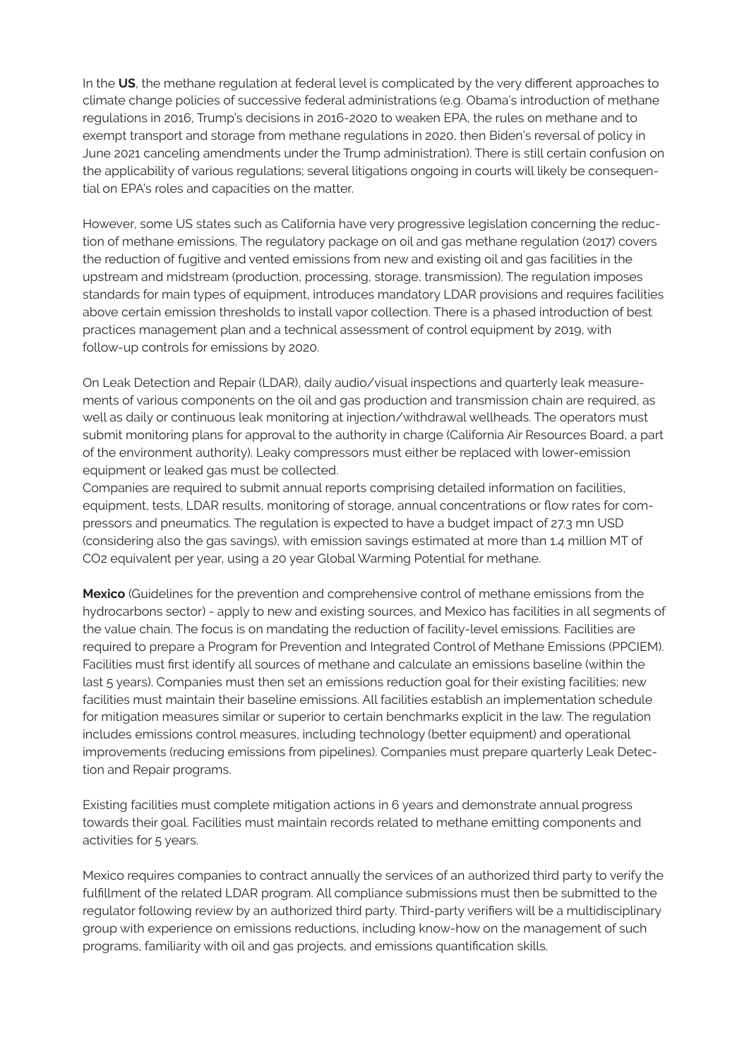In the **US**, the methane regulation at federal level is complicated by the very different approaches to climate change policies of successive federal administrations (e.g. Obama's introduction of methane regulations in 2016, Trump's decisions in 2016-2020 to weaken EPA, the rules on methane and to exempt transport and storage from methane regulations in 2020, then Biden's reversal of policy in June 2021 canceling amendments under the Trump administration). There is still certain confusion on the applicability of various regulations; several litigations ongoing in courts will likely be consequential on EPA's roles and capacities on the matter.

However, some US states such as California have very progressive legislation concerning the reduction of methane emissions. The regulatory package on oil and gas methane regulation (2017) covers the reduction of fugitive and vented emissions from new and existing oil and gas facilities in the upstream and midstream (production, processing, storage, transmission). The regulation imposes standards for main types of equipment, introduces mandatory LDAR provisions and requires facilities above certain emission thresholds to install vapor collection. There is a phased introduction of best practices management plan and a technical assessment of control equipment by 2019, with follow-up controls for emissions by 2020.

On Leak Detection and Repair (LDAR), daily audio/visual inspections and quarterly leak measurements of various components on the oil and gas production and transmission chain are required, as well as daily or continuous leak monitoring at injection/withdrawal wellheads. The operators must submit monitoring plans for approval to the authority in charge (California Air Resources Board, a part of the environment authority). Leaky compressors must either be replaced with lower-emission equipment or leaked gas must be collected.

Companies are required to submit annual reports comprising detailed information on facilities, equipment, tests, LDAR results, monitoring of storage, annual concentrations or flow rates for compressors and pneumatics. The regulation is expected to have a budget impact of 27.3 mn USD (considering also the gas savings), with emission savings estimated at more than 1.4 million MT of CO2 equivalent per year, using a 20 year Global Warming Potential for methane.

**Mexico** (Guidelines for the prevention and comprehensive control of methane emissions from the hydrocarbons sector) - apply to new and existing sources, and Mexico has facilities in all segments of the value chain. The focus is on mandating the reduction of facility-level emissions. Facilities are required to prepare a Program for Prevention and Integrated Control of Methane Emissions (PPCIEM). Facilities must first identify all sources of methane and calculate an emissions baseline (within the last 5 years). Companies must then set an emissions reduction goal for their existing facilities; new facilities must maintain their baseline emissions. All facilities establish an implementation schedule for mitigation measures similar or superior to certain benchmarks explicit in the law. The regulation includes emissions control measures, including technology (better equipment) and operational improvements (reducing emissions from pipelines). Companies must prepare quarterly Leak Detection and Repair programs.

Existing facilities must complete mitigation actions in 6 years and demonstrate annual progress towards their goal. Facilities must maintain records related to methane emitting components and activities for 5 years.

Mexico requires companies to contract annually the services of an authorized third party to verify the fulfillment of the related LDAR program. All compliance submissions must then be submitted to the regulator following review by an authorized third party. Third-party verifiers will be a multidisciplinary group with experience on emissions reductions, including know-how on the management of such programs, familiarity with oil and gas projects, and emissions quantification skills.